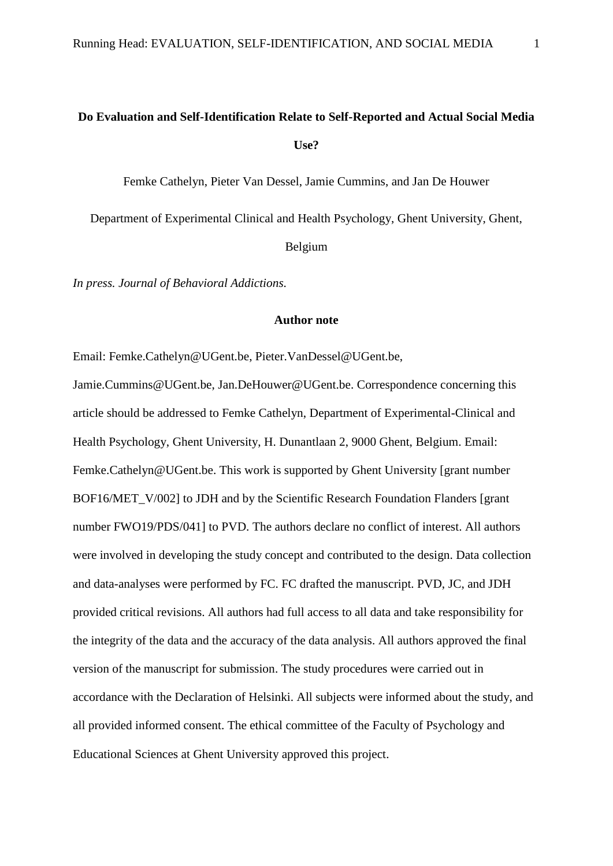# **Do Evaluation and Self-Identification Relate to Self-Reported and Actual Social Media Use?**

Femke Cathelyn, Pieter Van Dessel, Jamie Cummins, and Jan De Houwer

Department of Experimental Clinical and Health Psychology, Ghent University, Ghent,

Belgium

*In press. Journal of Behavioral Addictions.*

#### **Author note**

Email: Femke.Cathelyn@UGent.be, Pieter.VanDessel@UGent.be,

Jamie.Cummins@UGent.be, Jan.DeHouwer@UGent.be. Correspondence concerning this article should be addressed to Femke Cathelyn, Department of Experimental-Clinical and Health Psychology, Ghent University, H. Dunantlaan 2, 9000 Ghent, Belgium. Email: Femke.Cathelyn@UGent.be. This work is supported by Ghent University [grant number BOF16/MET\_V/002] to JDH and by the Scientific Research Foundation Flanders [grant] number FWO19/PDS/041] to PVD. The authors declare no conflict of interest. All authors were involved in developing the study concept and contributed to the design. Data collection and data-analyses were performed by FC. FC drafted the manuscript. PVD, JC, and JDH provided critical revisions. All authors had full access to all data and take responsibility for the integrity of the data and the accuracy of the data analysis. All authors approved the final version of the manuscript for submission. The study procedures were carried out in accordance with the Declaration of Helsinki. All subjects were informed about the study, and all provided informed consent. The ethical committee of the Faculty of Psychology and Educational Sciences at Ghent University approved this project.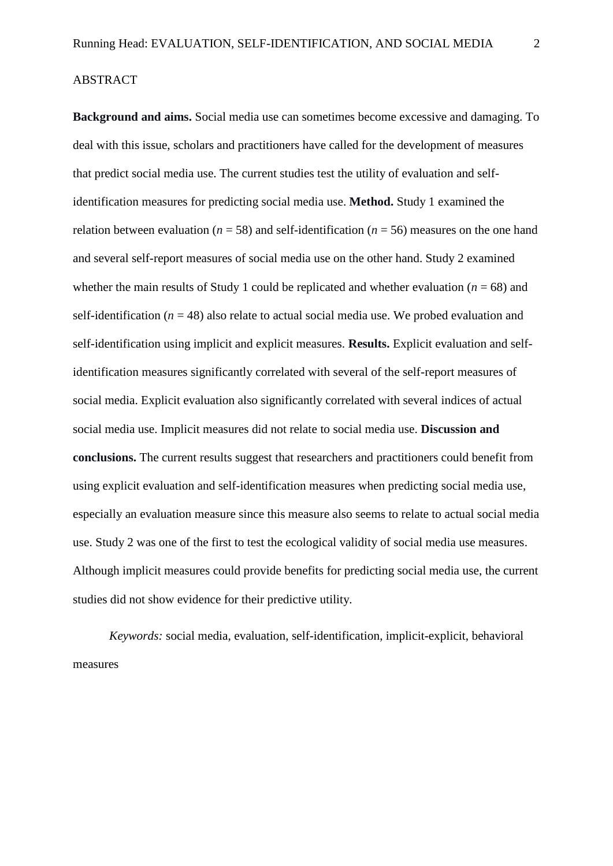# ABSTRACT

**Background and aims.** Social media use can sometimes become excessive and damaging. To deal with this issue, scholars and practitioners have called for the development of measures that predict social media use. The current studies test the utility of evaluation and selfidentification measures for predicting social media use. **Method.** Study 1 examined the relation between evaluation ( $n = 58$ ) and self-identification ( $n = 56$ ) measures on the one hand and several self-report measures of social media use on the other hand. Study 2 examined whether the main results of Study 1 could be replicated and whether evaluation ( $n = 68$ ) and self-identification  $(n = 48)$  also relate to actual social media use. We probed evaluation and self-identification using implicit and explicit measures. **Results.** Explicit evaluation and selfidentification measures significantly correlated with several of the self-report measures of social media. Explicit evaluation also significantly correlated with several indices of actual social media use. Implicit measures did not relate to social media use. **Discussion and conclusions.** The current results suggest that researchers and practitioners could benefit from using explicit evaluation and self-identification measures when predicting social media use, especially an evaluation measure since this measure also seems to relate to actual social media use. Study 2 was one of the first to test the ecological validity of social media use measures. Although implicit measures could provide benefits for predicting social media use, the current studies did not show evidence for their predictive utility.

*Keywords:* social media, evaluation, self-identification, implicit-explicit, behavioral measures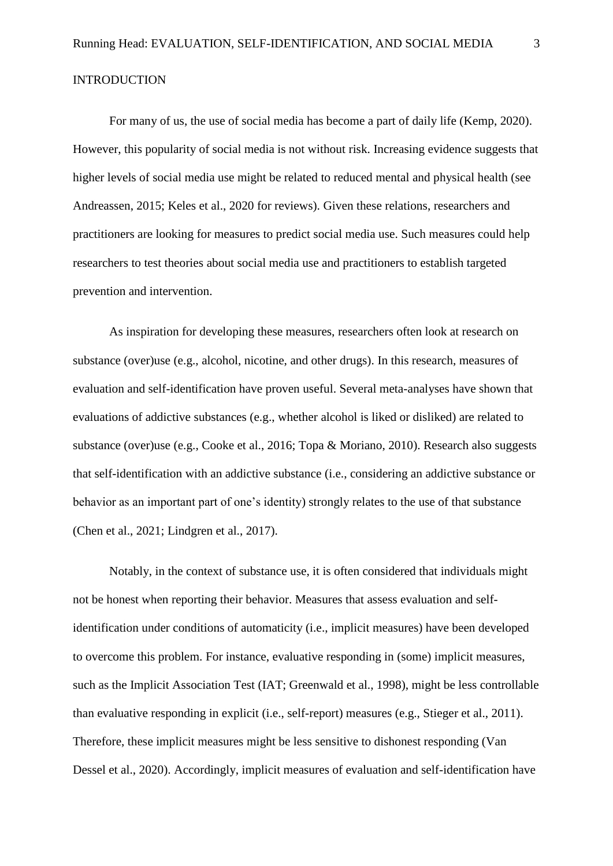#### **INTRODUCTION**

For many of us, the use of social media has become a part of daily life (Kemp, 2020). However, this popularity of social media is not without risk. Increasing evidence suggests that higher levels of social media use might be related to reduced mental and physical health (see Andreassen, 2015; Keles et al., 2020 for reviews). Given these relations, researchers and practitioners are looking for measures to predict social media use. Such measures could help researchers to test theories about social media use and practitioners to establish targeted prevention and intervention.

As inspiration for developing these measures, researchers often look at research on substance (over)use (e.g., alcohol, nicotine, and other drugs). In this research, measures of evaluation and self-identification have proven useful. Several meta-analyses have shown that evaluations of addictive substances (e.g., whether alcohol is liked or disliked) are related to substance (over)use (e.g., Cooke et al., 2016; Topa & Moriano, 2010). Research also suggests that self-identification with an addictive substance (i.e., considering an addictive substance or behavior as an important part of one's identity) strongly relates to the use of that substance (Chen et al., 2021; Lindgren et al., 2017).

Notably, in the context of substance use, it is often considered that individuals might not be honest when reporting their behavior. Measures that assess evaluation and selfidentification under conditions of automaticity (i.e., implicit measures) have been developed to overcome this problem. For instance, evaluative responding in (some) implicit measures, such as the Implicit Association Test (IAT; Greenwald et al., 1998), might be less controllable than evaluative responding in explicit (i.e., self-report) measures (e.g., Stieger et al., 2011). Therefore, these implicit measures might be less sensitive to dishonest responding (Van Dessel et al., 2020). Accordingly, implicit measures of evaluation and self-identification have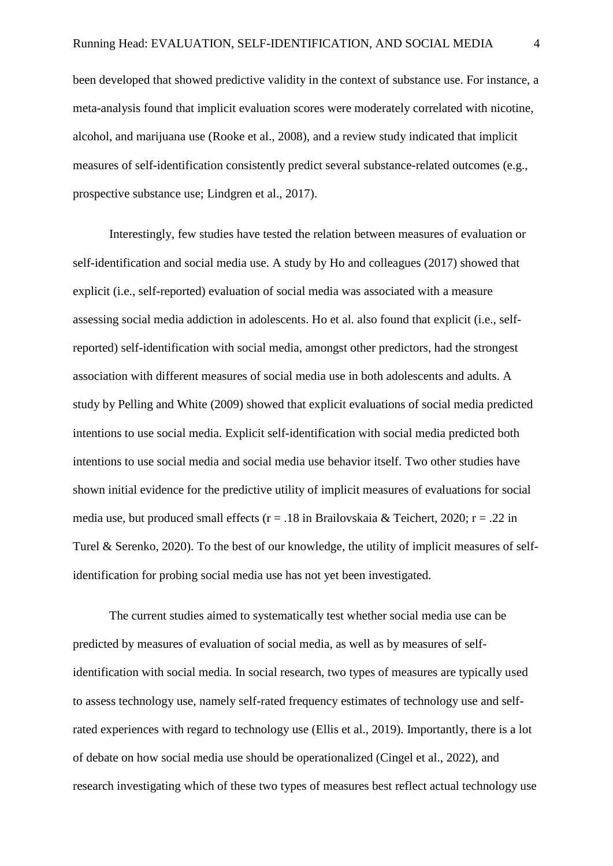been developed that showed predictive validity in the context of substance use. For instance, a meta-analysis found that implicit evaluation scores were moderately correlated with nicotine, alcohol, and marijuana use (Rooke et al., 2008), and a review study indicated that implicit measures of self-identification consistently predict several substance-related outcomes (e.g., prospective substance use; Lindgren et al., 2017).

Interestingly, few studies have tested the relation between measures of evaluation or self-identification and social media use. A study by Ho and colleagues (2017) showed that explicit (i.e., self-reported) evaluation of social media was associated with a measure assessing social media addiction in adolescents. Ho et al. also found that explicit (i.e., selfreported) self-identification with social media, amongst other predictors, had the strongest association with different measures of social media use in both adolescents and adults. A study by Pelling and White (2009) showed that explicit evaluations of social media predicted intentions to use social media. Explicit self-identification with social media predicted both intentions to use social media and social media use behavior itself. Two other studies have shown initial evidence for the predictive utility of implicit measures of evaluations for social media use, but produced small effects ( $r = .18$  in Brailovskaia & Teichert, 2020;  $r = .22$  in Turel & Serenko, 2020). To the best of our knowledge, the utility of implicit measures of selfidentification for probing social media use has not yet been investigated.

The current studies aimed to systematically test whether social media use can be predicted by measures of evaluation of social media, as well as by measures of selfidentification with social media. In social research, two types of measures are typically used to assess technology use, namely self-rated frequency estimates of technology use and selfrated experiences with regard to technology use (Ellis et al., 2019). Importantly, there is a lot of debate on how social media use should be operationalized (Cingel et al., 2022), and research investigating which of these two types of measures best reflect actual technology use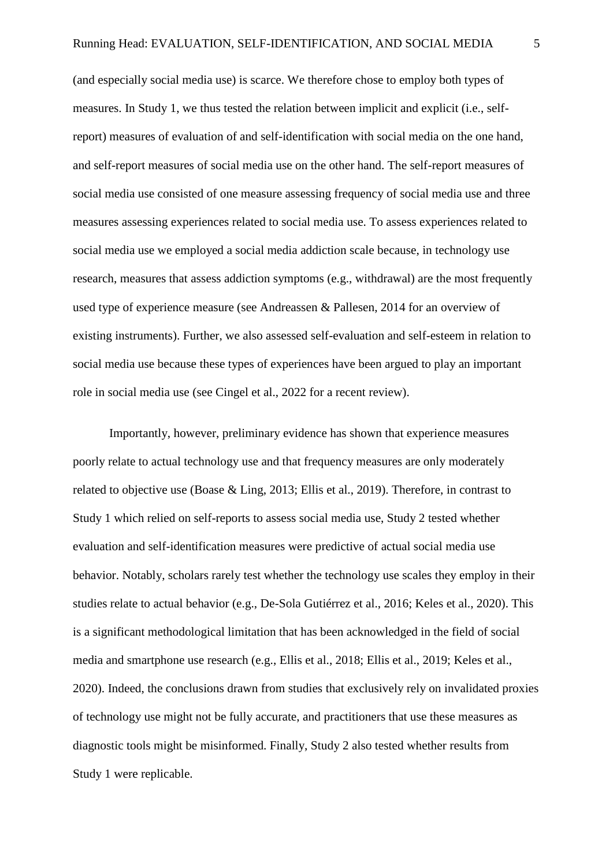(and especially social media use) is scarce. We therefore chose to employ both types of measures. In Study 1, we thus tested the relation between implicit and explicit (i.e., selfreport) measures of evaluation of and self-identification with social media on the one hand, and self-report measures of social media use on the other hand. The self-report measures of social media use consisted of one measure assessing frequency of social media use and three measures assessing experiences related to social media use. To assess experiences related to social media use we employed a social media addiction scale because, in technology use research, measures that assess addiction symptoms (e.g., withdrawal) are the most frequently used type of experience measure (see Andreassen & Pallesen, 2014 for an overview of existing instruments). Further, we also assessed self-evaluation and self-esteem in relation to social media use because these types of experiences have been argued to play an important role in social media use (see Cingel et al., 2022 for a recent review).

Importantly, however, preliminary evidence has shown that experience measures poorly relate to actual technology use and that frequency measures are only moderately related to objective use (Boase & Ling, 2013; Ellis et al., 2019). Therefore, in contrast to Study 1 which relied on self-reports to assess social media use, Study 2 tested whether evaluation and self-identification measures were predictive of actual social media use behavior. Notably, scholars rarely test whether the technology use scales they employ in their studies relate to actual behavior (e.g., De-Sola Gutiérrez et al., 2016; Keles et al., 2020). This is a significant methodological limitation that has been acknowledged in the field of social media and smartphone use research (e.g., Ellis et al., 2018; Ellis et al., 2019; Keles et al., 2020). Indeed, the conclusions drawn from studies that exclusively rely on invalidated proxies of technology use might not be fully accurate, and practitioners that use these measures as diagnostic tools might be misinformed. Finally, Study 2 also tested whether results from Study 1 were replicable.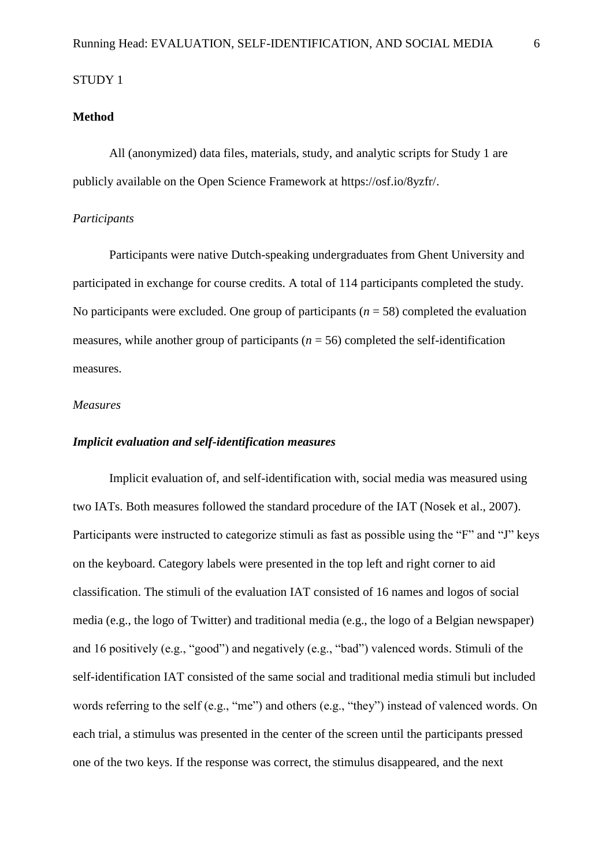### STUDY 1

#### **Method**

All (anonymized) data files, materials, study, and analytic scripts for Study 1 are publicly available on the Open Science Framework at https://osf.io/8yzfr/.

#### *Participants*

Participants were native Dutch-speaking undergraduates from Ghent University and participated in exchange for course credits. A total of 114 participants completed the study. No participants were excluded. One group of participants  $(n = 58)$  completed the evaluation measures, while another group of participants ( $n = 56$ ) completed the self-identification measures.

#### *Measures*

#### *Implicit evaluation and self-identification measures*

Implicit evaluation of, and self-identification with, social media was measured using two IATs. Both measures followed the standard procedure of the IAT (Nosek et al., 2007). Participants were instructed to categorize stimuli as fast as possible using the "F" and "J" keys on the keyboard. Category labels were presented in the top left and right corner to aid classification. The stimuli of the evaluation IAT consisted of 16 names and logos of social media (e.g., the logo of Twitter) and traditional media (e.g., the logo of a Belgian newspaper) and 16 positively (e.g., "good") and negatively (e.g., "bad") valenced words. Stimuli of the self-identification IAT consisted of the same social and traditional media stimuli but included words referring to the self (e.g., "me") and others (e.g., "they") instead of valenced words. On each trial, a stimulus was presented in the center of the screen until the participants pressed one of the two keys. If the response was correct, the stimulus disappeared, and the next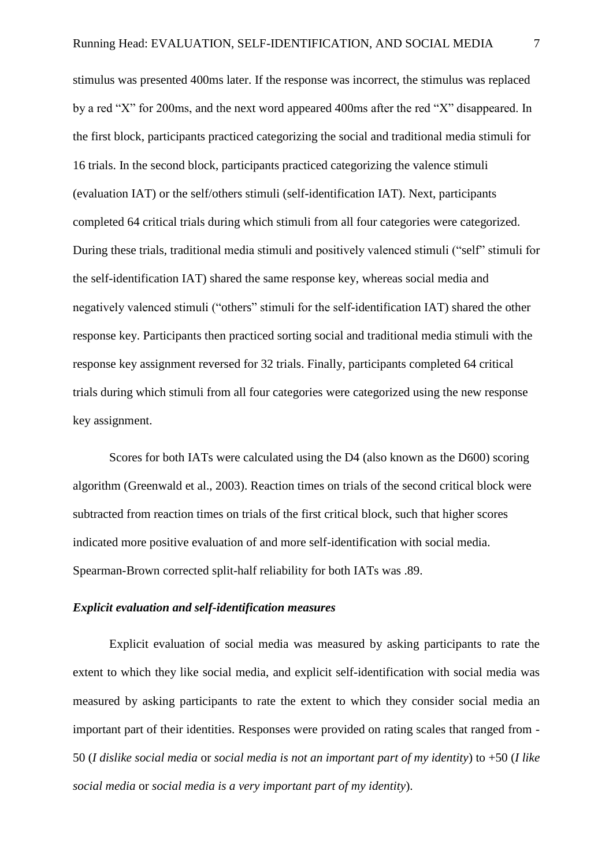stimulus was presented 400ms later. If the response was incorrect, the stimulus was replaced by a red "X" for 200ms, and the next word appeared 400ms after the red "X" disappeared. In the first block, participants practiced categorizing the social and traditional media stimuli for 16 trials. In the second block, participants practiced categorizing the valence stimuli (evaluation IAT) or the self/others stimuli (self-identification IAT). Next, participants completed 64 critical trials during which stimuli from all four categories were categorized. During these trials, traditional media stimuli and positively valenced stimuli ("self" stimuli for the self-identification IAT) shared the same response key, whereas social media and negatively valenced stimuli ("others" stimuli for the self-identification IAT) shared the other response key. Participants then practiced sorting social and traditional media stimuli with the response key assignment reversed for 32 trials. Finally, participants completed 64 critical trials during which stimuli from all four categories were categorized using the new response key assignment.

Scores for both IATs were calculated using the D4 (also known as the D600) scoring algorithm (Greenwald et al., 2003). Reaction times on trials of the second critical block were subtracted from reaction times on trials of the first critical block, such that higher scores indicated more positive evaluation of and more self-identification with social media. Spearman-Brown corrected split-half reliability for both IATs was .89.

# *Explicit evaluation and self-identification measures*

Explicit evaluation of social media was measured by asking participants to rate the extent to which they like social media, and explicit self-identification with social media was measured by asking participants to rate the extent to which they consider social media an important part of their identities. Responses were provided on rating scales that ranged from - 50 (*I dislike social media* or *social media is not an important part of my identity*) to +50 (*I like social media* or *social media is a very important part of my identity*).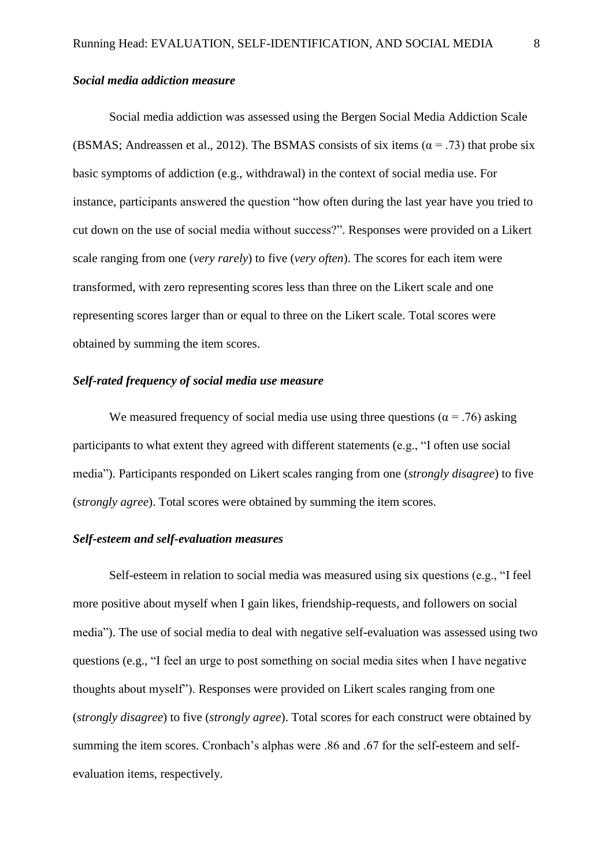# *Social media addiction measure*

Social media addiction was assessed using the Bergen Social Media Addiction Scale (BSMAS; Andreassen et al., 2012). The BSMAS consists of six items ( $\alpha$  = .73) that probe six basic symptoms of addiction (e.g., withdrawal) in the context of social media use. For instance, participants answered the question "how often during the last year have you tried to cut down on the use of social media without success?". Responses were provided on a Likert scale ranging from one (*very rarely*) to five (*very often*). The scores for each item were transformed, with zero representing scores less than three on the Likert scale and one representing scores larger than or equal to three on the Likert scale. Total scores were obtained by summing the item scores.

# *Self-rated frequency of social media use measure*

We measured frequency of social media use using three questions ( $\alpha = .76$ ) asking participants to what extent they agreed with different statements (e.g., "I often use social media"). Participants responded on Likert scales ranging from one (*strongly disagree*) to five (*strongly agree*). Total scores were obtained by summing the item scores.

# *Self-esteem and self-evaluation measures*

Self-esteem in relation to social media was measured using six questions (e.g., "I feel more positive about myself when I gain likes, friendship-requests, and followers on social media"). The use of social media to deal with negative self-evaluation was assessed using two questions (e.g., "I feel an urge to post something on social media sites when I have negative thoughts about myself"). Responses were provided on Likert scales ranging from one (*strongly disagree*) to five (*strongly agree*). Total scores for each construct were obtained by summing the item scores. Cronbach's alphas were .86 and .67 for the self-esteem and selfevaluation items, respectively.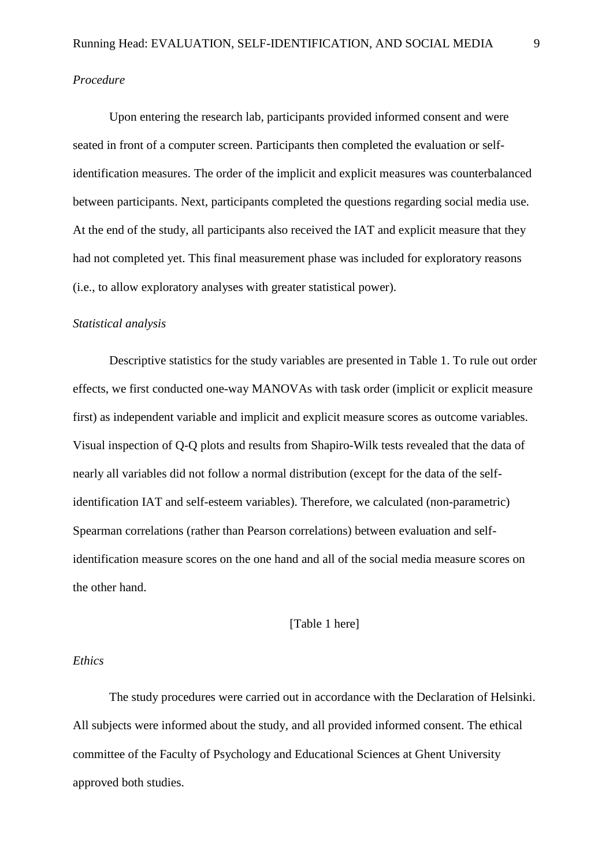# *Procedure*

Upon entering the research lab, participants provided informed consent and were seated in front of a computer screen. Participants then completed the evaluation or selfidentification measures. The order of the implicit and explicit measures was counterbalanced between participants. Next, participants completed the questions regarding social media use. At the end of the study, all participants also received the IAT and explicit measure that they had not completed yet. This final measurement phase was included for exploratory reasons (i.e., to allow exploratory analyses with greater statistical power).

#### *Statistical analysis*

Descriptive statistics for the study variables are presented in Table 1. To rule out order effects, we first conducted one-way MANOVAs with task order (implicit or explicit measure first) as independent variable and implicit and explicit measure scores as outcome variables. Visual inspection of Q-Q plots and results from Shapiro-Wilk tests revealed that the data of nearly all variables did not follow a normal distribution (except for the data of the selfidentification IAT and self-esteem variables). Therefore, we calculated (non-parametric) Spearman correlations (rather than Pearson correlations) between evaluation and selfidentification measure scores on the one hand and all of the social media measure scores on the other hand.

#### [Table 1 here]

#### *Ethics*

The study procedures were carried out in accordance with the Declaration of Helsinki. All subjects were informed about the study, and all provided informed consent. The ethical committee of the Faculty of Psychology and Educational Sciences at Ghent University approved both studies.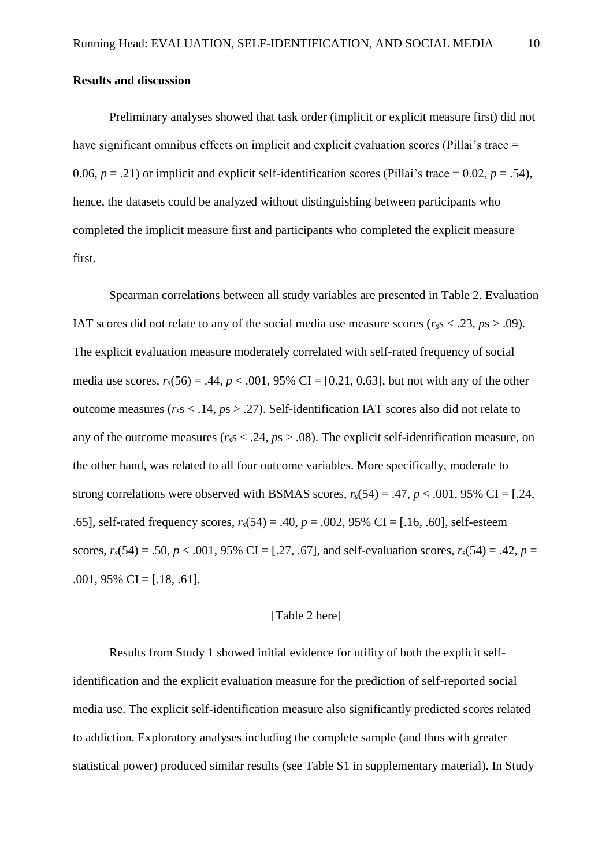### **Results and discussion**

Preliminary analyses showed that task order (implicit or explicit measure first) did not have significant omnibus effects on implicit and explicit evaluation scores (Pillai's trace = 0.06,  $p = .21$ ) or implicit and explicit self-identification scores (Pillai's trace = 0.02,  $p = .54$ ), hence, the datasets could be analyzed without distinguishing between participants who completed the implicit measure first and participants who completed the explicit measure first.

Spearman correlations between all study variables are presented in Table 2. Evaluation IAT scores did not relate to any of the social media use measure scores ( $r<sub>s</sub> < 0.23$ ,  $p<sub>s</sub> > 0.09$ ). The explicit evaluation measure moderately correlated with self-rated frequency of social media use scores,  $r_s(56) = .44$ ,  $p < .001$ , 95% CI = [0.21, 0.63], but not with any of the other outcome measures (*rs*s < .14, *p*s > .27). Self-identification IAT scores also did not relate to any of the outcome measures ( $r<sub>s</sub>s < .24$ ,  $ps > .08$ ). The explicit self-identification measure, on the other hand, was related to all four outcome variables. More specifically, moderate to strong correlations were observed with BSMAS scores,  $r_s(54) = .47$ ,  $p < .001$ , 95% CI = [.24, .65], self-rated frequency scores,  $r_s(54) = .40$ ,  $p = .002$ , 95% CI = [.16, .60], self-esteem scores,  $r_s(54) = .50$ ,  $p < .001$ , 95% CI = [.27, .67], and self-evaluation scores,  $r_s(54) = .42$ ,  $p =$ .001, 95% CI =  $[.18, .61]$ .

# [Table 2 here]

Results from Study 1 showed initial evidence for utility of both the explicit selfidentification and the explicit evaluation measure for the prediction of self-reported social media use. The explicit self-identification measure also significantly predicted scores related to addiction. Exploratory analyses including the complete sample (and thus with greater statistical power) produced similar results (see Table S1 in supplementary material). In Study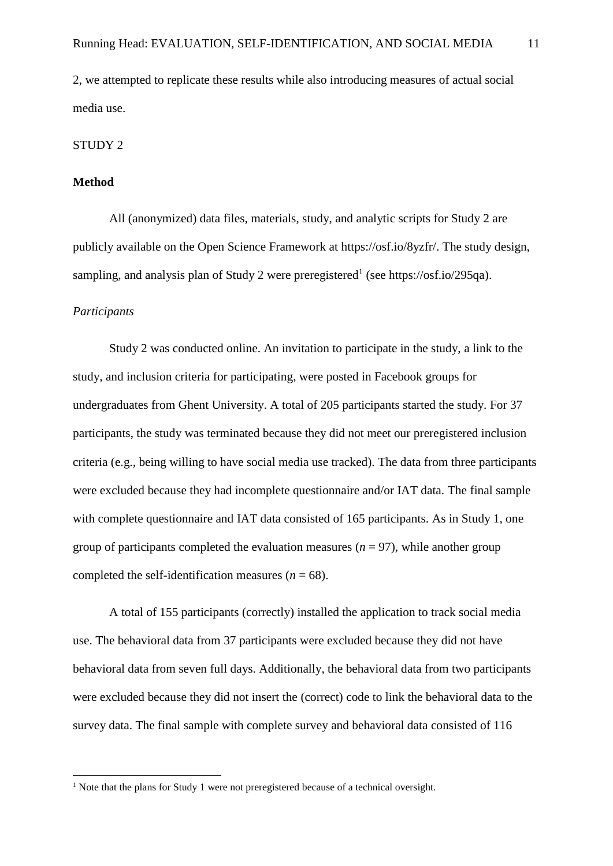2, we attempted to replicate these results while also introducing measures of actual social media use.

# STUDY 2

# **Method**

All (anonymized) data files, materials, study, and analytic scripts for Study 2 are publicly available on the Open Science Framework at https://osf.io/8yzfr/. The study design, sampling, and analysis plan of Study 2 were preregistered<sup>1</sup> (see https://osf.io/295qa).

# *Participants*

<u>.</u>

Study 2 was conducted online. An invitation to participate in the study, a link to the study, and inclusion criteria for participating, were posted in Facebook groups for undergraduates from Ghent University. A total of 205 participants started the study. For 37 participants, the study was terminated because they did not meet our preregistered inclusion criteria (e.g., being willing to have social media use tracked). The data from three participants were excluded because they had incomplete questionnaire and/or IAT data. The final sample with complete questionnaire and IAT data consisted of 165 participants. As in Study 1, one group of participants completed the evaluation measures  $(n = 97)$ , while another group completed the self-identification measures ( $n = 68$ ).

A total of 155 participants (correctly) installed the application to track social media use. The behavioral data from 37 participants were excluded because they did not have behavioral data from seven full days. Additionally, the behavioral data from two participants were excluded because they did not insert the (correct) code to link the behavioral data to the survey data. The final sample with complete survey and behavioral data consisted of 116

<sup>&</sup>lt;sup>1</sup> Note that the plans for Study 1 were not preregistered because of a technical oversight.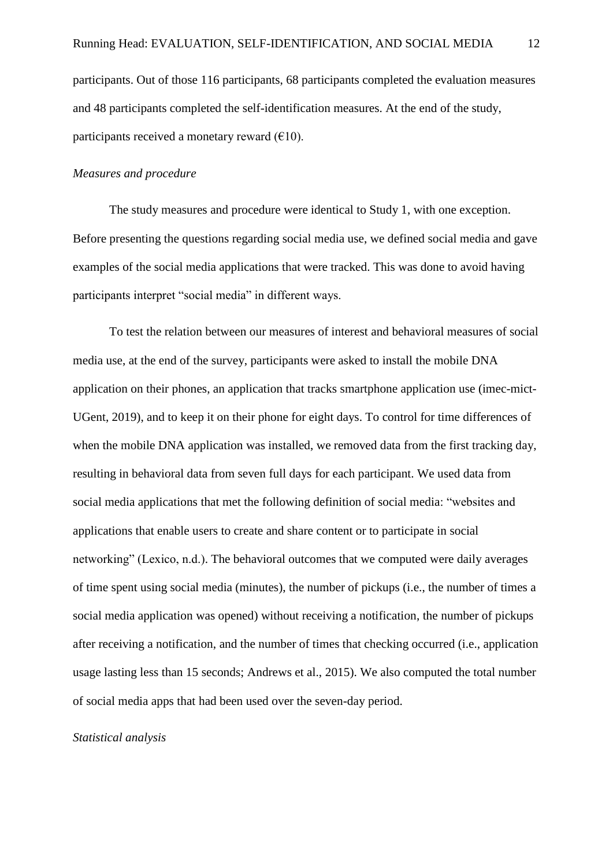participants. Out of those 116 participants, 68 participants completed the evaluation measures and 48 participants completed the self-identification measures. At the end of the study, participants received a monetary reward  $(610)$ .

#### *Measures and procedure*

The study measures and procedure were identical to Study 1, with one exception. Before presenting the questions regarding social media use, we defined social media and gave examples of the social media applications that were tracked. This was done to avoid having participants interpret "social media" in different ways.

To test the relation between our measures of interest and behavioral measures of social media use, at the end of the survey, participants were asked to install the mobile DNA application on their phones, an application that tracks smartphone application use (imec-mict-UGent, 2019), and to keep it on their phone for eight days. To control for time differences of when the mobile DNA application was installed, we removed data from the first tracking day, resulting in behavioral data from seven full days for each participant. We used data from social media applications that met the following definition of social media: "websites and applications that enable users to create and share content or to participate in social networking" (Lexico, n.d.). The behavioral outcomes that we computed were daily averages of time spent using social media (minutes), the number of pickups (i.e., the number of times a social media application was opened) without receiving a notification, the number of pickups after receiving a notification, and the number of times that checking occurred (i.e., application usage lasting less than 15 seconds; Andrews et al., 2015). We also computed the total number of social media apps that had been used over the seven-day period.

#### *Statistical analysis*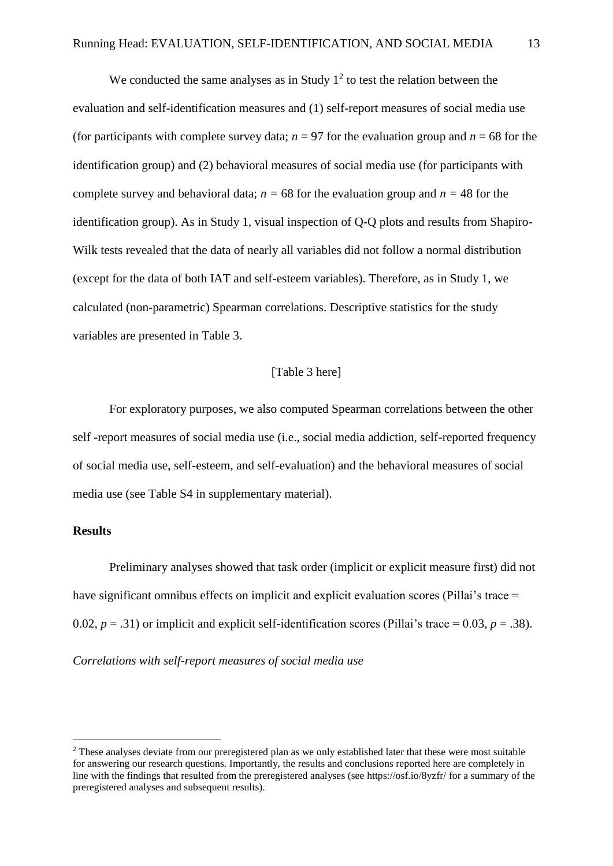We conducted the same analyses as in Study  $1<sup>2</sup>$  to test the relation between the evaluation and self-identification measures and (1) self-report measures of social media use (for participants with complete survey data;  $n = 97$  for the evaluation group and  $n = 68$  for the identification group) and (2) behavioral measures of social media use (for participants with complete survey and behavioral data;  $n = 68$  for the evaluation group and  $n = 48$  for the identification group). As in Study 1, visual inspection of Q-Q plots and results from Shapiro-Wilk tests revealed that the data of nearly all variables did not follow a normal distribution (except for the data of both IAT and self-esteem variables). Therefore, as in Study 1, we calculated (non-parametric) Spearman correlations. Descriptive statistics for the study variables are presented in Table 3.

### [Table 3 here]

For exploratory purposes, we also computed Spearman correlations between the other self -report measures of social media use (i.e., social media addiction, self-reported frequency of social media use, self-esteem, and self-evaluation) and the behavioral measures of social media use (see Table S4 in supplementary material).

#### **Results**

<u>.</u>

Preliminary analyses showed that task order (implicit or explicit measure first) did not have significant omnibus effects on implicit and explicit evaluation scores (Pillai's trace = 0.02,  $p = .31$ ) or implicit and explicit self-identification scores (Pillai's trace = 0.03,  $p = .38$ ).

*Correlations with self-report measures of social media use* 

<sup>&</sup>lt;sup>2</sup> These analyses deviate from our preregistered plan as we only established later that these were most suitable for answering our research questions. Importantly, the results and conclusions reported here are completely in line with the findings that resulted from the preregistered analyses (see https://osf.io/8yzfr/ for a summary of the preregistered analyses and subsequent results).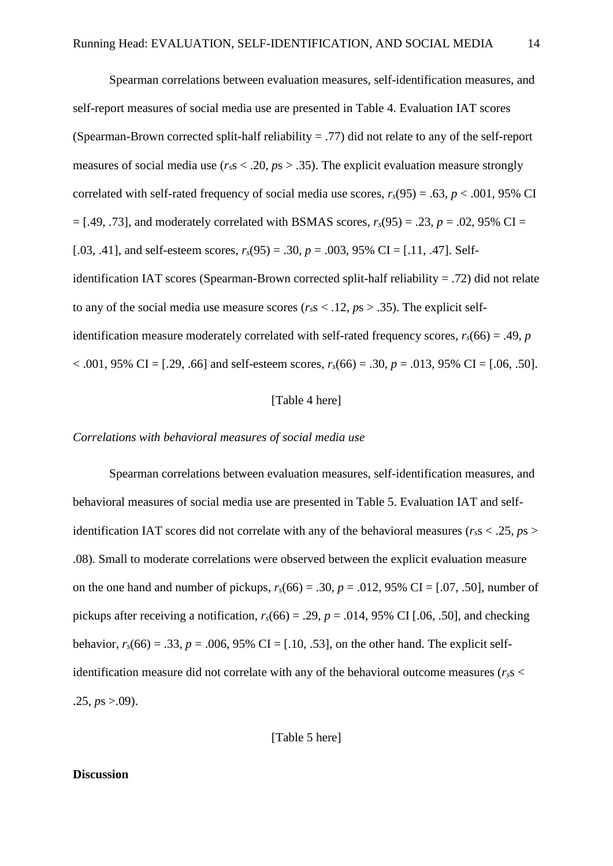Spearman correlations between evaluation measures, self-identification measures, and self-report measures of social media use are presented in Table 4. Evaluation IAT scores (Spearman-Brown corrected split-half reliability = .77) did not relate to any of the self-report measures of social media use  $(r<sub>s</sub>s < .20, ps > .35)$ . The explicit evaluation measure strongly correlated with self-rated frequency of social media use scores,  $r_s(95) = .63$ ,  $p < .001$ , 95% CI  $=$  [.49, .73], and moderately correlated with BSMAS scores,  $r_s(95) = .23$ ,  $p = .02$ , 95% CI = [.03, .41], and self-esteem scores,  $r_s(95) = .30$ ,  $p = .003$ ,  $95\%$  CI = [.11, .47]. Selfidentification IAT scores (Spearman-Brown corrected split-half reliability = .72) did not relate to any of the social media use measure scores ( $r<sub>s</sub>$ s < .12,  $p<sub>s</sub>$ ) = .35). The explicit selfidentification measure moderately correlated with self-rated frequency scores,  $r_s(66) = .49$ , *p*  $< .001, 95\% \text{ CI} = [.29, .66]$  and self-esteem scores,  $r_s(66) = .30, p = .013, 95\% \text{ CI} = [.06, .50].$ 

# [Table 4 here]

# *Correlations with behavioral measures of social media use*

Spearman correlations between evaluation measures, self-identification measures, and behavioral measures of social media use are presented in Table 5. Evaluation IAT and selfidentification IAT scores did not correlate with any of the behavioral measures ( $r<sub>s</sub>$ s < .25,  $p<sub>s</sub>$ ) .08). Small to moderate correlations were observed between the explicit evaluation measure on the one hand and number of pickups,  $r_s(66) = .30$ ,  $p = .012$ , 95% CI = [.07, .50], number of pickups after receiving a notification,  $r_s(66) = .29$ ,  $p = .014$ , 95% CI [.06, .50], and checking behavior,  $r_s(66) = .33$ ,  $p = .006$ , 95% CI = [.10, .53], on the other hand. The explicit selfidentification measure did not correlate with any of the behavioral outcome measures ( $r<sub>s</sub>$  < .25,  $ps > .09$ ).

[Table 5 here]

# **Discussion**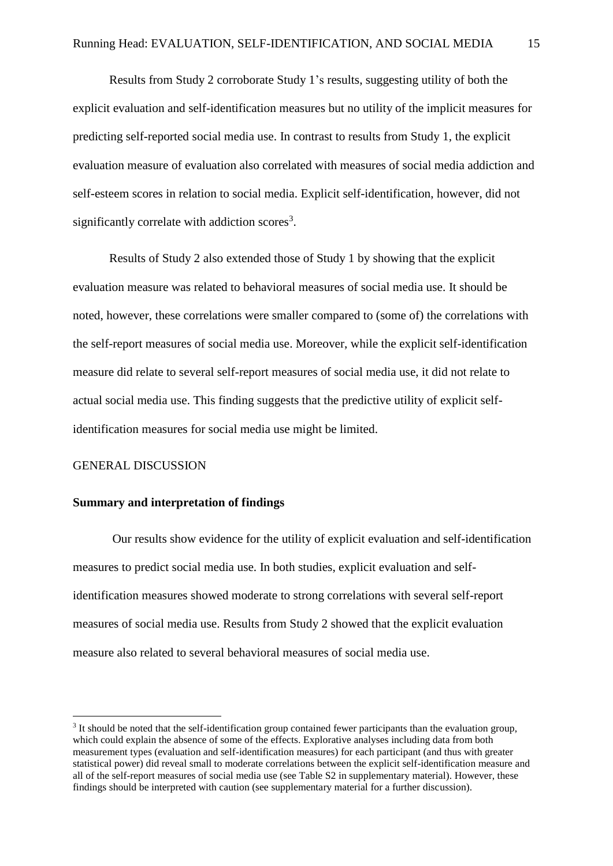Results from Study 2 corroborate Study 1's results, suggesting utility of both the explicit evaluation and self-identification measures but no utility of the implicit measures for predicting self-reported social media use. In contrast to results from Study 1, the explicit evaluation measure of evaluation also correlated with measures of social media addiction and self-esteem scores in relation to social media. Explicit self-identification, however, did not significantly correlate with addiction scores<sup>3</sup>.

Results of Study 2 also extended those of Study 1 by showing that the explicit evaluation measure was related to behavioral measures of social media use. It should be noted, however, these correlations were smaller compared to (some of) the correlations with the self-report measures of social media use. Moreover, while the explicit self-identification measure did relate to several self-report measures of social media use, it did not relate to actual social media use. This finding suggests that the predictive utility of explicit selfidentification measures for social media use might be limited.

#### GENERAL DISCUSSION

1

# **Summary and interpretation of findings**

Our results show evidence for the utility of explicit evaluation and self-identification measures to predict social media use. In both studies, explicit evaluation and selfidentification measures showed moderate to strong correlations with several self-report measures of social media use. Results from Study 2 showed that the explicit evaluation measure also related to several behavioral measures of social media use.

<sup>&</sup>lt;sup>3</sup> It should be noted that the self-identification group contained fewer participants than the evaluation group, which could explain the absence of some of the effects. Explorative analyses including data from both measurement types (evaluation and self-identification measures) for each participant (and thus with greater statistical power) did reveal small to moderate correlations between the explicit self-identification measure and all of the self-report measures of social media use (see Table S2 in supplementary material). However, these findings should be interpreted with caution (see supplementary material for a further discussion).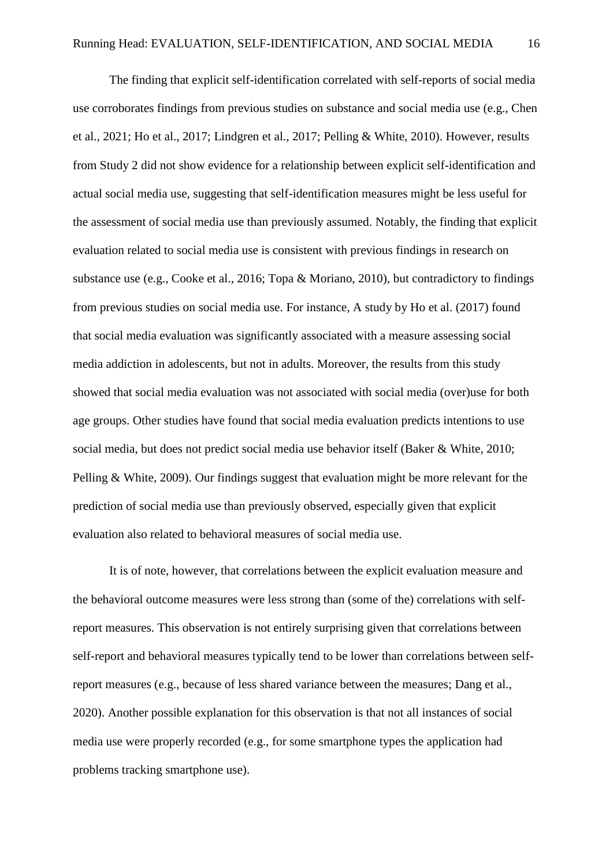The finding that explicit self-identification correlated with self-reports of social media use corroborates findings from previous studies on substance and social media use (e.g., Chen et al., 2021; Ho et al., 2017; Lindgren et al., 2017; Pelling & White, 2010). However, results from Study 2 did not show evidence for a relationship between explicit self-identification and actual social media use, suggesting that self-identification measures might be less useful for the assessment of social media use than previously assumed. Notably, the finding that explicit evaluation related to social media use is consistent with previous findings in research on substance use (e.g., Cooke et al., 2016; Topa & Moriano, 2010), but contradictory to findings from previous studies on social media use. For instance, A study by Ho et al. (2017) found that social media evaluation was significantly associated with a measure assessing social media addiction in adolescents, but not in adults. Moreover, the results from this study showed that social media evaluation was not associated with social media (over)use for both age groups. Other studies have found that social media evaluation predicts intentions to use social media, but does not predict social media use behavior itself (Baker & White, 2010; Pelling & White, 2009). Our findings suggest that evaluation might be more relevant for the prediction of social media use than previously observed, especially given that explicit evaluation also related to behavioral measures of social media use.

It is of note, however, that correlations between the explicit evaluation measure and the behavioral outcome measures were less strong than (some of the) correlations with selfreport measures. This observation is not entirely surprising given that correlations between self-report and behavioral measures typically tend to be lower than correlations between selfreport measures (e.g., because of less shared variance between the measures; Dang et al., 2020). Another possible explanation for this observation is that not all instances of social media use were properly recorded (e.g., for some smartphone types the application had problems tracking smartphone use).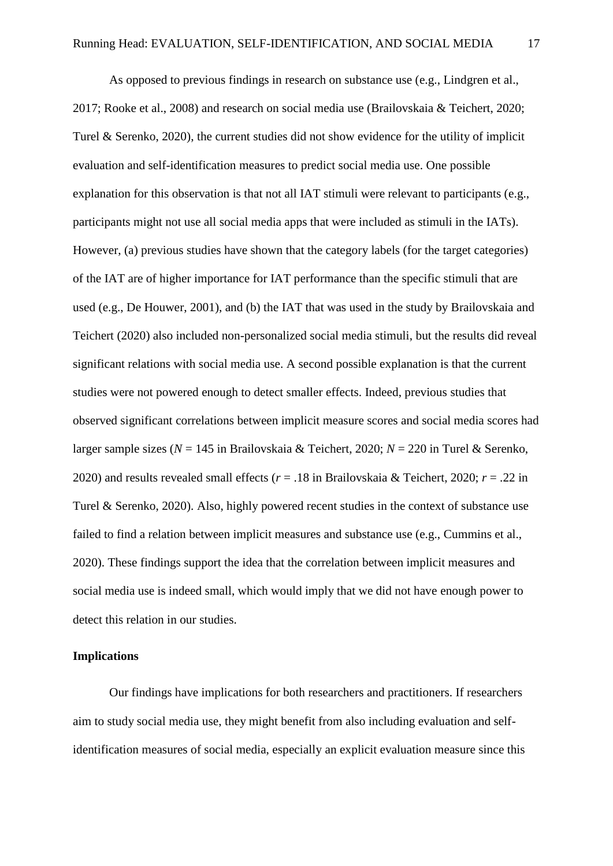As opposed to previous findings in research on substance use (e.g., Lindgren et al., 2017; Rooke et al., 2008) and research on social media use (Brailovskaia & Teichert, 2020; Turel & Serenko, 2020), the current studies did not show evidence for the utility of implicit evaluation and self-identification measures to predict social media use. One possible explanation for this observation is that not all IAT stimuli were relevant to participants (e.g., participants might not use all social media apps that were included as stimuli in the IATs). However, (a) previous studies have shown that the category labels (for the target categories) of the IAT are of higher importance for IAT performance than the specific stimuli that are used (e.g., De Houwer, 2001), and (b) the IAT that was used in the study by Brailovskaia and Teichert (2020) also included non-personalized social media stimuli, but the results did reveal significant relations with social media use. A second possible explanation is that the current studies were not powered enough to detect smaller effects. Indeed, previous studies that observed significant correlations between implicit measure scores and social media scores had larger sample sizes (*N* = 145 in Brailovskaia & Teichert, 2020; *N* = 220 in Turel & Serenko, 2020) and results revealed small effects (*r* = .18 in Brailovskaia & Teichert, 2020; *r* = .22 in Turel & Serenko, 2020). Also, highly powered recent studies in the context of substance use failed to find a relation between implicit measures and substance use (e.g., Cummins et al., 2020). These findings support the idea that the correlation between implicit measures and social media use is indeed small, which would imply that we did not have enough power to detect this relation in our studies.

#### **Implications**

Our findings have implications for both researchers and practitioners. If researchers aim to study social media use, they might benefit from also including evaluation and selfidentification measures of social media, especially an explicit evaluation measure since this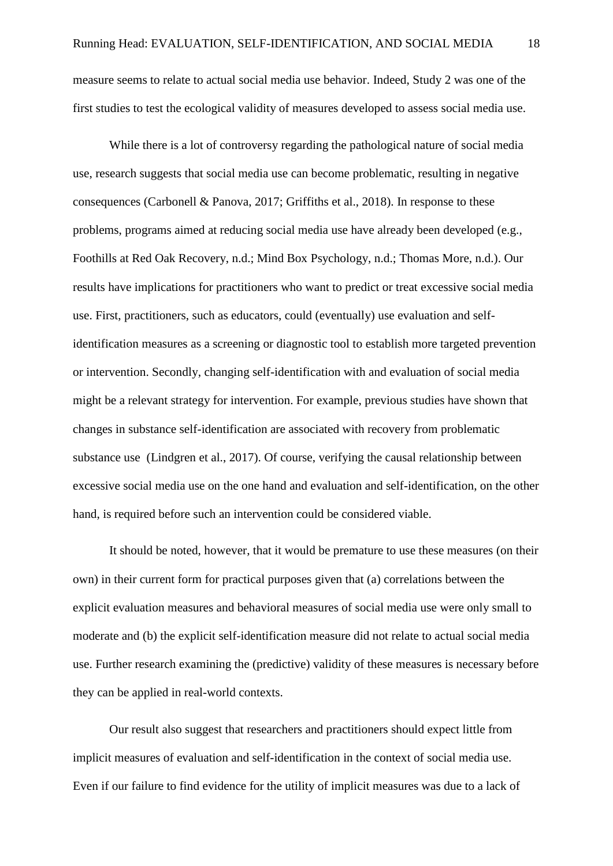measure seems to relate to actual social media use behavior. Indeed, Study 2 was one of the first studies to test the ecological validity of measures developed to assess social media use.

While there is a lot of controversy regarding the pathological nature of social media use, research suggests that social media use can become problematic, resulting in negative consequences (Carbonell & Panova, 2017; Griffiths et al., 2018). In response to these problems, programs aimed at reducing social media use have already been developed (e.g., Foothills at Red Oak Recovery, n.d.; Mind Box Psychology, n.d.; Thomas More, n.d.). Our results have implications for practitioners who want to predict or treat excessive social media use. First, practitioners, such as educators, could (eventually) use evaluation and selfidentification measures as a screening or diagnostic tool to establish more targeted prevention or intervention. Secondly, changing self-identification with and evaluation of social media might be a relevant strategy for intervention. For example, previous studies have shown that changes in substance self-identification are associated with recovery from problematic substance use (Lindgren et al., 2017). Of course, verifying the causal relationship between excessive social media use on the one hand and evaluation and self-identification, on the other hand, is required before such an intervention could be considered viable.

It should be noted, however, that it would be premature to use these measures (on their own) in their current form for practical purposes given that (a) correlations between the explicit evaluation measures and behavioral measures of social media use were only small to moderate and (b) the explicit self-identification measure did not relate to actual social media use. Further research examining the (predictive) validity of these measures is necessary before they can be applied in real-world contexts.

Our result also suggest that researchers and practitioners should expect little from implicit measures of evaluation and self-identification in the context of social media use. Even if our failure to find evidence for the utility of implicit measures was due to a lack of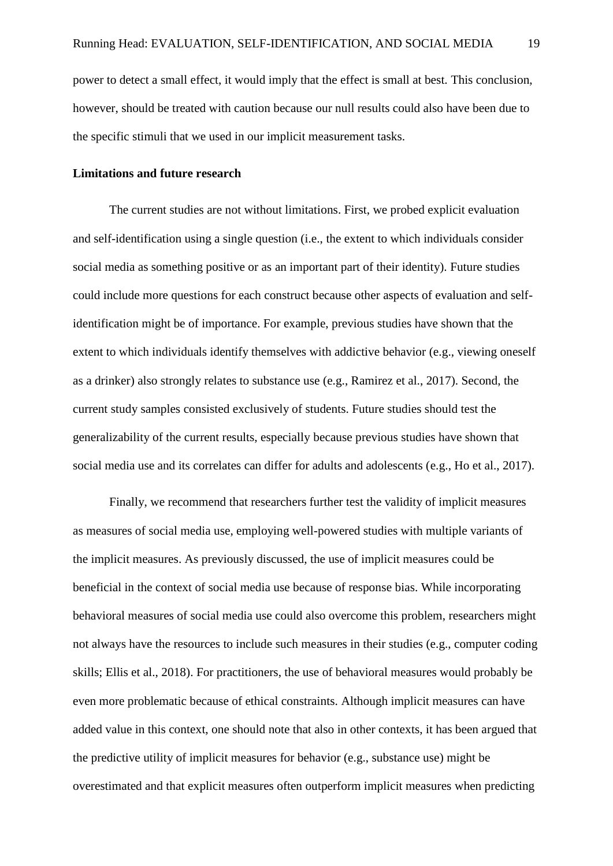power to detect a small effect, it would imply that the effect is small at best. This conclusion, however, should be treated with caution because our null results could also have been due to the specific stimuli that we used in our implicit measurement tasks.

# **Limitations and future research**

The current studies are not without limitations. First, we probed explicit evaluation and self-identification using a single question (i.e., the extent to which individuals consider social media as something positive or as an important part of their identity). Future studies could include more questions for each construct because other aspects of evaluation and selfidentification might be of importance. For example, previous studies have shown that the extent to which individuals identify themselves with addictive behavior (e.g., viewing oneself as a drinker) also strongly relates to substance use (e.g., Ramirez et al., 2017). Second, the current study samples consisted exclusively of students. Future studies should test the generalizability of the current results, especially because previous studies have shown that social media use and its correlates can differ for adults and adolescents (e.g., Ho et al., 2017).

Finally, we recommend that researchers further test the validity of implicit measures as measures of social media use, employing well-powered studies with multiple variants of the implicit measures. As previously discussed, the use of implicit measures could be beneficial in the context of social media use because of response bias. While incorporating behavioral measures of social media use could also overcome this problem, researchers might not always have the resources to include such measures in their studies (e.g., computer coding skills; Ellis et al., 2018). For practitioners, the use of behavioral measures would probably be even more problematic because of ethical constraints. Although implicit measures can have added value in this context, one should note that also in other contexts, it has been argued that the predictive utility of implicit measures for behavior (e.g., substance use) might be overestimated and that explicit measures often outperform implicit measures when predicting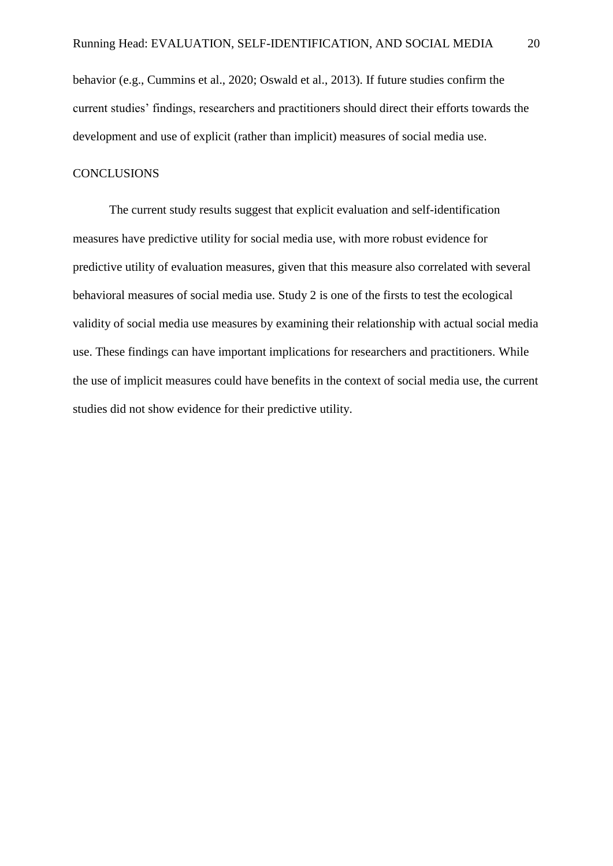behavior (e.g., Cummins et al., 2020; Oswald et al., 2013). If future studies confirm the current studies' findings, researchers and practitioners should direct their efforts towards the development and use of explicit (rather than implicit) measures of social media use.

# **CONCLUSIONS**

The current study results suggest that explicit evaluation and self-identification measures have predictive utility for social media use, with more robust evidence for predictive utility of evaluation measures, given that this measure also correlated with several behavioral measures of social media use. Study 2 is one of the firsts to test the ecological validity of social media use measures by examining their relationship with actual social media use. These findings can have important implications for researchers and practitioners. While the use of implicit measures could have benefits in the context of social media use, the current studies did not show evidence for their predictive utility.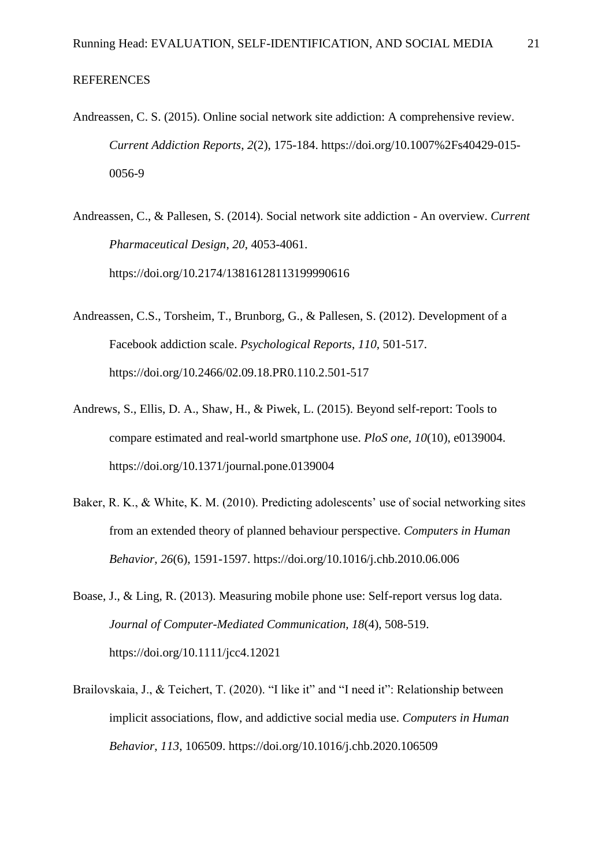# REFERENCES

- Andreassen, C. S. (2015). Online social network site addiction: A comprehensive review. *Current Addiction Reports*, *2*(2), 175-184. https://doi.org/10.1007%2Fs40429-015- 0056-9
- Andreassen, C., & Pallesen, S. (2014). Social network site addiction An overview. *Current Pharmaceutical Design*, *20*, 4053-4061. https://doi.org/10.2174/13816128113199990616
- Andreassen, C.S., Torsheim, T., Brunborg, G., & Pallesen, S. (2012). Development of a Facebook addiction scale. *Psychological Reports*, *110*, 501-517. https://doi.org/10.2466/02.09.18.PR0.110.2.501-517
- Andrews, S., Ellis, D. A., Shaw, H., & Piwek, L. (2015). Beyond self-report: Tools to compare estimated and real-world smartphone use. *PloS one, 10*(10), e0139004. https://doi.org/10.1371/journal.pone.0139004
- Baker, R. K., & White, K. M. (2010). Predicting adolescents' use of social networking sites from an extended theory of planned behaviour perspective. *Computers in Human Behavior, 26*(6), 1591-1597. https://doi.org/10.1016/j.chb.2010.06.006
- Boase, J., & Ling, R. (2013). Measuring mobile phone use: Self-report versus log data. *Journal of Computer-Mediated Communication, 18*(4), 508-519. https://doi.org/10.1111/jcc4.12021
- Brailovskaia, J., & Teichert, T. (2020). "I like it" and "I need it": Relationship between implicit associations, flow, and addictive social media use. *Computers in Human Behavior*, *113*, 106509. https://doi.org/10.1016/j.chb.2020.106509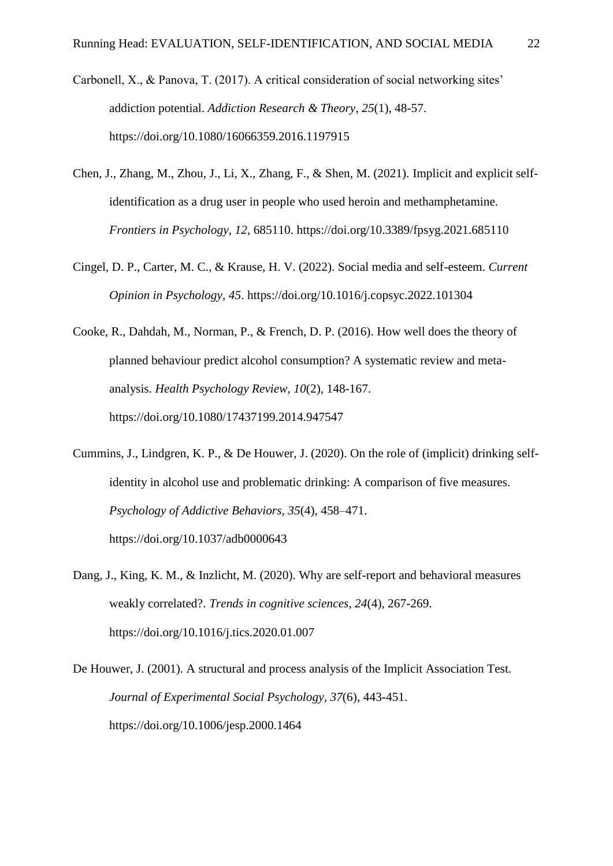- Carbonell, X., & Panova, T. (2017). A critical consideration of social networking sites' addiction potential. *Addiction Research & Theory*, *25*(1), 48-57. https://doi.org/10.1080/16066359.2016.1197915
- Chen, J., Zhang, M., Zhou, J., Li, X., Zhang, F., & Shen, M. (2021). Implicit and explicit selfidentification as a drug user in people who used heroin and methamphetamine. *Frontiers in Psychology*, *12*, 685110. https://doi.org/10.3389/fpsyg.2021.685110
- Cingel, D. P., Carter, M. C., & Krause, H. V. (2022). Social media and self-esteem. *Current Opinion in Psychology, 45*. https://doi.org/10.1016/j.copsyc.2022.101304
- Cooke, R., Dahdah, M., Norman, P., & French, D. P. (2016). How well does the theory of planned behaviour predict alcohol consumption? A systematic review and metaanalysis. *Health Psychology Review, 10*(2), 148-167. https://doi.org/10.1080/17437199.2014.947547
- Cummins, J., Lindgren, K. P., & De Houwer, J. (2020). On the role of (implicit) drinking selfidentity in alcohol use and problematic drinking: A comparison of five measures. *Psychology of Addictive Behaviors, 35*(4), 458–471. https://doi.org/10.1037/adb0000643
- Dang, J., King, K. M., & Inzlicht, M. (2020). Why are self-report and behavioral measures weakly correlated?. *Trends in cognitive sciences, 24*(4), 267-269. https://doi.org/10.1016/j.tics.2020.01.007
- De Houwer, J. (2001). A structural and process analysis of the Implicit Association Test. *Journal of Experimental Social Psychology*, *37*(6), 443-451. https://doi.org/10.1006/jesp.2000.1464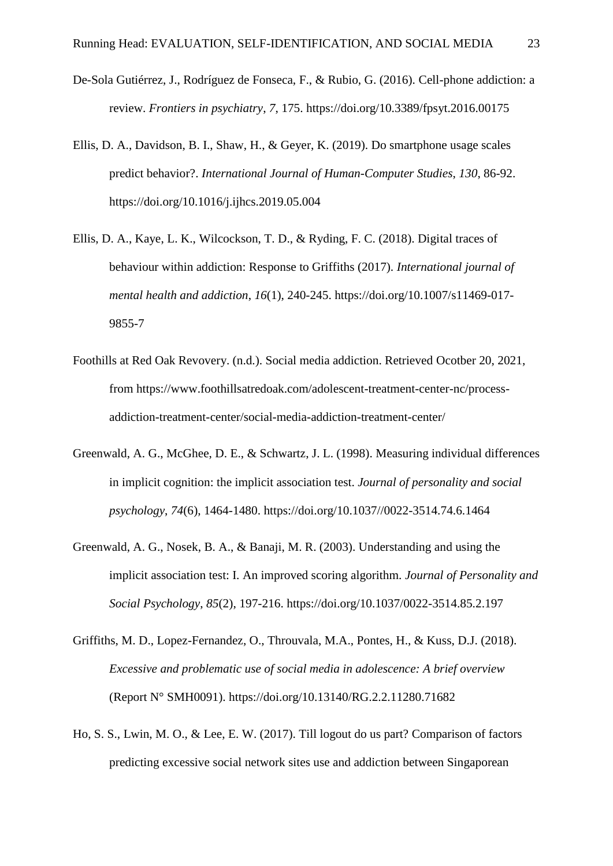- De-Sola Gutiérrez, J., Rodríguez de Fonseca, F., & Rubio, G. (2016). Cell-phone addiction: a review. *Frontiers in psychiatry*, *7*, 175. https://doi.org/10.3389/fpsyt.2016.00175
- Ellis, D. A., Davidson, B. I., Shaw, H., & Geyer, K. (2019). Do smartphone usage scales predict behavior?. *International Journal of Human-Computer Studies*, *130*, 86-92. https://doi.org/10.1016/j.ijhcs.2019.05.004
- Ellis, D. A., Kaye, L. K., Wilcockson, T. D., & Ryding, F. C. (2018). Digital traces of behaviour within addiction: Response to Griffiths (2017). *International journal of mental health and addiction*, *16*(1), 240-245. https://doi.org/10.1007/s11469-017- 9855-7
- Foothills at Red Oak Revovery. (n.d.). Social media addiction. Retrieved Ocotber 20, 2021, from https://www.foothillsatredoak.com/adolescent-treatment-center-nc/processaddiction-treatment-center/social-media-addiction-treatment-center/
- Greenwald, A. G., McGhee, D. E., & Schwartz, J. L. (1998). Measuring individual differences in implicit cognition: the implicit association test. *Journal of personality and social psychology*, *74*(6), 1464-1480. https://doi.org/10.1037//0022-3514.74.6.1464
- Greenwald, A. G., Nosek, B. A., & Banaji, M. R. (2003). Understanding and using the implicit association test: I. An improved scoring algorithm*. Journal of Personality and Social Psychology*, *85*(2), 197-216. https://doi.org/10.1037/0022-3514.85.2.197
- Griffiths, M. D., Lopez-Fernandez, O., Throuvala, M.A., Pontes, H., & Kuss, D.J. (2018). *Excessive and problematic use of social media in adolescence: A brief overview*  (Report N° SMH0091). https://doi.org/10.13140/RG.2.2.11280.71682
- Ho, S. S., Lwin, M. O., & Lee, E. W. (2017). Till logout do us part? Comparison of factors predicting excessive social network sites use and addiction between Singaporean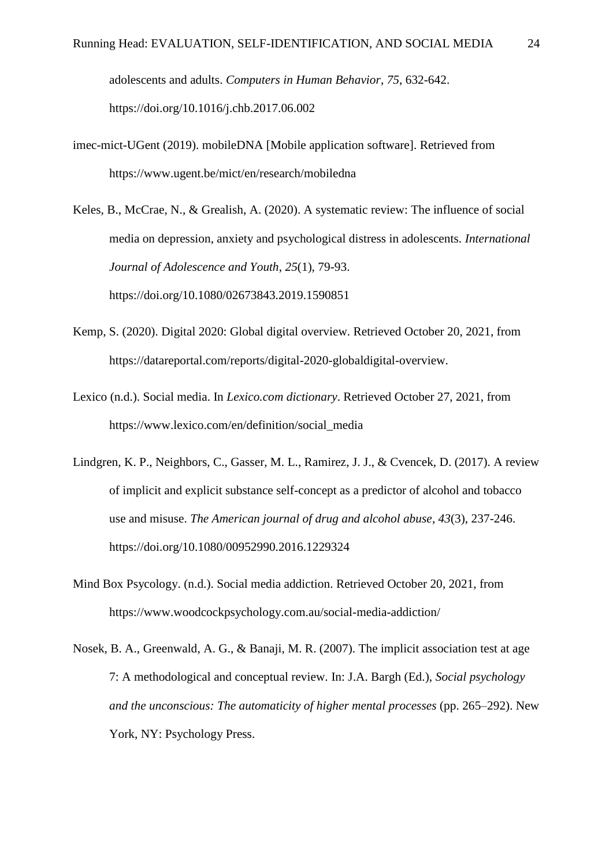adolescents and adults. *Computers in Human Behavior*, *75*, 632-642. https://doi.org/10.1016/j.chb.2017.06.002

imec-mict-UGent (2019). mobileDNA [Mobile application software]. Retrieved from https://www.ugent.be/mict/en/research/mobiledna

Keles, B., McCrae, N., & Grealish, A. (2020). A systematic review: The influence of social media on depression, anxiety and psychological distress in adolescents. *International Journal of Adolescence and Youth*, *25*(1), 79-93. https://doi.org/10.1080/02673843.2019.1590851

- Kemp, S. (2020). Digital 2020: Global digital overview. Retrieved October 20, 2021, from https://datareportal.com/reports/digital-2020-globaldigital-overview.
- Lexico (n.d.). Social media. In *Lexico.com dictionary*. Retrieved October 27, 2021, from https://www.lexico.com/en/definition/social\_media
- Lindgren, K. P., Neighbors, C., Gasser, M. L., Ramirez, J. J., & Cvencek, D. (2017). A review of implicit and explicit substance self-concept as a predictor of alcohol and tobacco use and misuse. *The American journal of drug and alcohol abuse*, *43*(3), 237-246. https://doi.org/10.1080/00952990.2016.1229324
- Mind Box Psycology. (n.d.). Social media addiction. Retrieved October 20, 2021, from https://www.woodcockpsychology.com.au/social-media-addiction/
- Nosek, B. A., Greenwald, A. G., & Banaji, M. R. (2007). The implicit association test at age 7: A methodological and conceptual review. In: J.A. Bargh (Ed.), *Social psychology and the unconscious: The automaticity of higher mental processes* (pp. 265–292). New York, NY: Psychology Press.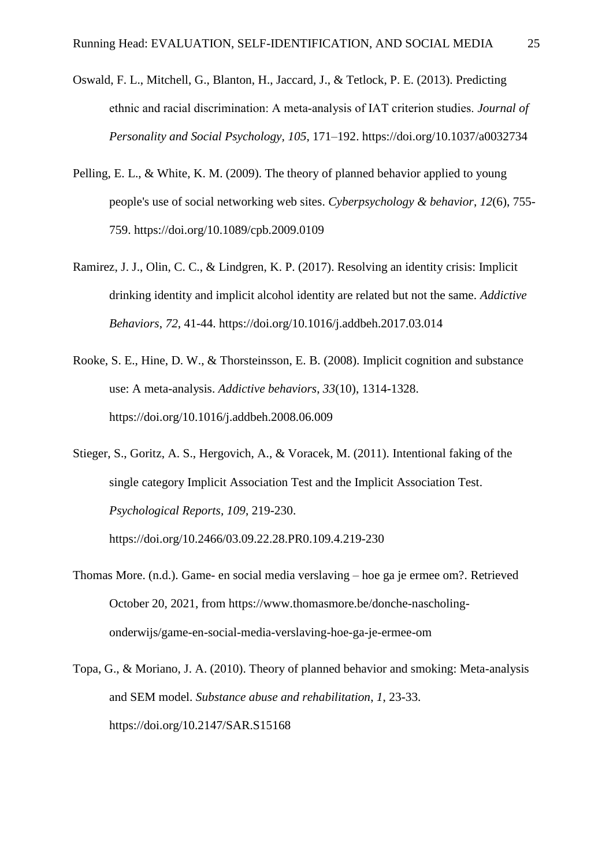- Oswald, F. L., Mitchell, G., Blanton, H., Jaccard, J., & Tetlock, P. E. (2013). Predicting ethnic and racial discrimination: A meta‐analysis of IAT criterion studies. *Journal of Personality and Social Psychology, 105*, 171–192. https://doi.org/10.1037/a0032734
- Pelling, E. L., & White, K. M. (2009). The theory of planned behavior applied to young people's use of social networking web sites. *Cyberpsychology & behavior*, *12*(6), 755- 759. https://doi.org/10.1089/cpb.2009.0109
- Ramirez, J. J., Olin, C. C., & Lindgren, K. P. (2017). Resolving an identity crisis: Implicit drinking identity and implicit alcohol identity are related but not the same. *Addictive Behaviors*, *72*, 41-44. https://doi.org/10.1016/j.addbeh.2017.03.014
- Rooke, S. E., Hine, D. W., & Thorsteinsson, E. B. (2008). Implicit cognition and substance use: A meta-analysis. *Addictive behaviors*, *33*(10), 1314-1328. https://doi.org/10.1016/j.addbeh.2008.06.009
- Stieger, S., Goritz, A. S., Hergovich, A., & Voracek, M. (2011). Intentional faking of the single category Implicit Association Test and the Implicit Association Test. *Psychological Reports, 109*, 219-230. https://doi.org/10.2466/03.09.22.28.PR0.109.4.219-230
- Thomas More. (n.d.). Game- en social media verslaving hoe ga je ermee om?. Retrieved October 20, 2021, from https://www.thomasmore.be/donche-nascholingonderwijs/game-en-social-media-verslaving-hoe-ga-je-ermee-om
- Topa, G., & Moriano, J. A. (2010). Theory of planned behavior and smoking: Meta-analysis and SEM model. *Substance abuse and rehabilitation*, *1*, 23-33. https://doi.org/10.2147/SAR.S15168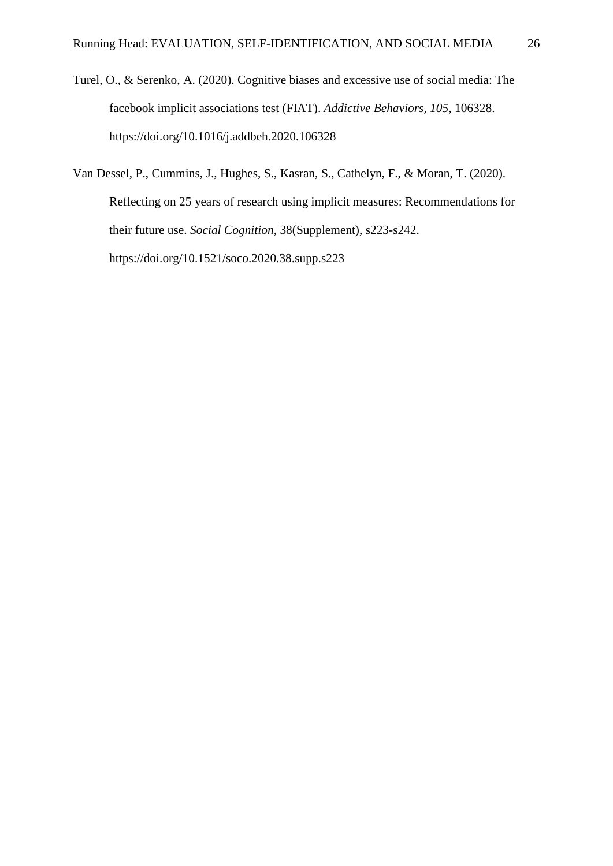- Turel, O., & Serenko, A. (2020). Cognitive biases and excessive use of social media: The facebook implicit associations test (FIAT). *Addictive Behaviors, 105*, 106328. https://doi.org/10.1016/j.addbeh.2020.106328
- Van Dessel, P., Cummins, J., Hughes, S., Kasran, S., Cathelyn, F., & Moran, T. (2020). Reflecting on 25 years of research using implicit measures: Recommendations for their future use. *Social Cognition*, 38(Supplement), s223-s242. https://doi.org/10.1521/soco.2020.38.supp.s223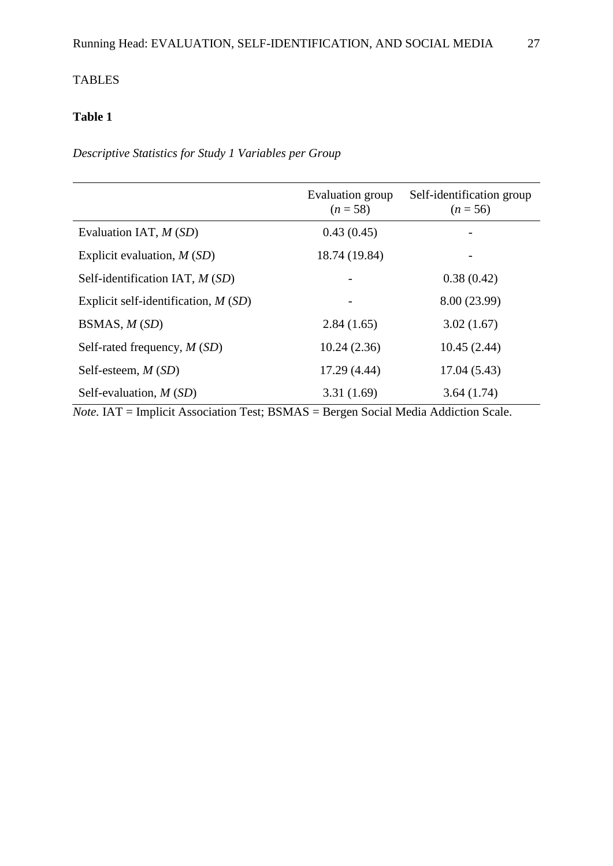# TABLES

# **Table 1**

*Descriptive Statistics for Study 1 Variables per Group* 

|                                       | Evaluation group<br>$(n=58)$ | Self-identification group<br>$(n = 56)$ |
|---------------------------------------|------------------------------|-----------------------------------------|
| Evaluation IAT, $M(SD)$               | 0.43(0.45)                   |                                         |
| Explicit evaluation, $M(SD)$          | 18.74 (19.84)                |                                         |
| Self-identification IAT, $M(SD)$      |                              | 0.38(0.42)                              |
| Explicit self-identification, $M(SD)$ |                              | 8.00 (23.99)                            |
| BSMAS, M(SD)                          | 2.84(1.65)                   | 3.02(1.67)                              |
| Self-rated frequency, $M(SD)$         | 10.24(2.36)                  | 10.45(2.44)                             |
| Self-esteem, $M(SD)$                  | 17.29 (4.44)                 | 17.04(5.43)                             |
| Self-evaluation, $M(SD)$              | 3.31(1.69)                   | 3.64(1.74)                              |

*Note.* IAT = Implicit Association Test; BSMAS = Bergen Social Media Addiction Scale.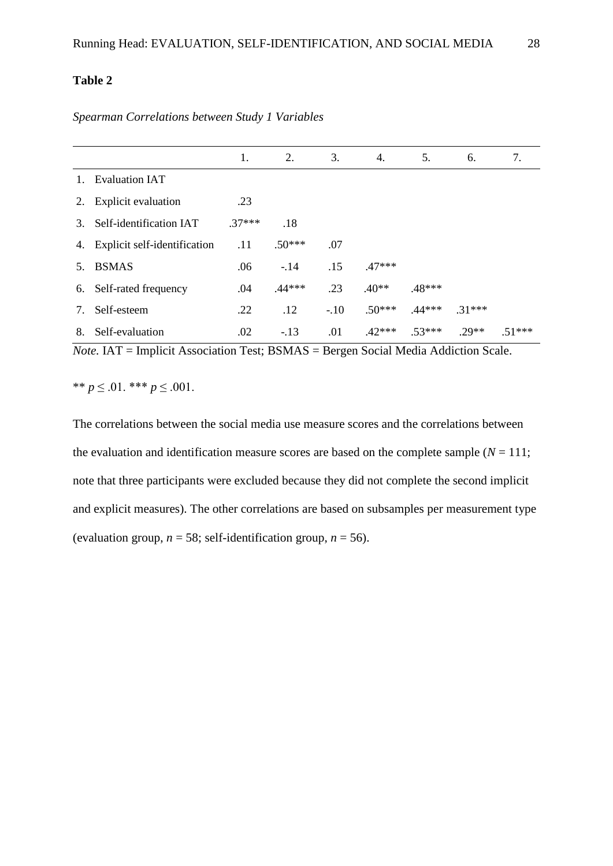|    |                                 | 1.      | 2.       | 3.     | 4.       | 5.       | 6.       | 7.       |
|----|---------------------------------|---------|----------|--------|----------|----------|----------|----------|
|    | <b>Evaluation IAT</b>           |         |          |        |          |          |          |          |
| 2. | <b>Explicit evaluation</b>      | .23     |          |        |          |          |          |          |
| 3. | Self-identification IAT         | $37***$ | .18      |        |          |          |          |          |
|    | 4. Explicit self-identification | .11     | $.50***$ | .07    |          |          |          |          |
| 5. | <b>BSMAS</b>                    | .06     | $-.14$   | .15    | $.47***$ |          |          |          |
|    | 6. Self-rated frequency         | .04     | $.44***$ | .23    | $.40**$  | $.48***$ |          |          |
| 7. | Self-esteem                     | .22     | .12      | $-.10$ | $.50***$ | $.44***$ | $.31***$ |          |
| 8. | Self-evaluation                 | .02     | $-.13$   | .01    | $.42***$ | $.53***$ | $29**$   | $.51***$ |

*Spearman Correlations between Study 1 Variables* 

*Note.* IAT = Implicit Association Test; BSMAS = Bergen Social Media Addiction Scale.

\*\*  $p \leq .01$ . \*\*\*  $p \leq .001$ .

The correlations between the social media use measure scores and the correlations between the evaluation and identification measure scores are based on the complete sample  $(N = 111)$ ; note that three participants were excluded because they did not complete the second implicit and explicit measures). The other correlations are based on subsamples per measurement type (evaluation group,  $n = 58$ ; self-identification group,  $n = 56$ ).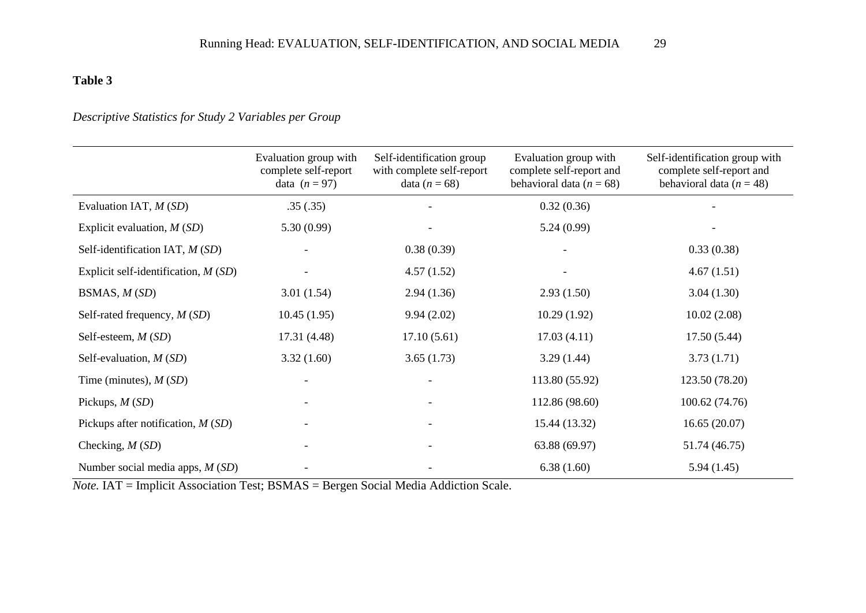# *Descriptive Statistics for Study 2 Variables per Group*

|                                       | Evaluation group with<br>complete self-report<br>data $(n=97)$ | Self-identification group<br>with complete self-report<br>data ( $n = 68$ ) | Evaluation group with<br>complete self-report and<br>behavioral data ( $n = 68$ ) | Self-identification group with<br>complete self-report and<br>behavioral data ( $n = 48$ ) |
|---------------------------------------|----------------------------------------------------------------|-----------------------------------------------------------------------------|-----------------------------------------------------------------------------------|--------------------------------------------------------------------------------------------|
| Evaluation IAT, $M(SD)$               | .35(.35)                                                       |                                                                             | 0.32(0.36)                                                                        |                                                                                            |
| Explicit evaluation, $M(SD)$          | 5.30(0.99)                                                     |                                                                             | 5.24(0.99)                                                                        |                                                                                            |
| Self-identification IAT, $M(SD)$      |                                                                | 0.38(0.39)                                                                  |                                                                                   | 0.33(0.38)                                                                                 |
| Explicit self-identification, $M(SD)$ |                                                                | 4.57(1.52)                                                                  |                                                                                   | 4.67(1.51)                                                                                 |
| BSMAS, M (SD)                         | 3.01(1.54)                                                     | 2.94(1.36)                                                                  | 2.93(1.50)                                                                        | 3.04(1.30)                                                                                 |
| Self-rated frequency, $M(SD)$         | 10.45(1.95)                                                    | 9.94(2.02)                                                                  | 10.29(1.92)                                                                       | 10.02(2.08)                                                                                |
| Self-esteem, $M(SD)$                  | 17.31 (4.48)                                                   | 17.10(5.61)                                                                 | 17.03(4.11)                                                                       | 17.50(5.44)                                                                                |
| Self-evaluation, $M(SD)$              | 3.32(1.60)                                                     | 3.65(1.73)                                                                  | 3.29(1.44)                                                                        | 3.73(1.71)                                                                                 |
| Time (minutes), $M(SD)$               |                                                                |                                                                             | 113.80 (55.92)                                                                    | 123.50 (78.20)                                                                             |
| Pickups, $M(SD)$                      |                                                                |                                                                             | 112.86 (98.60)                                                                    | 100.62 (74.76)                                                                             |
| Pickups after notification, $M(SD)$   |                                                                |                                                                             | 15.44 (13.32)                                                                     | 16.65(20.07)                                                                               |
| Checking, $M(SD)$                     |                                                                |                                                                             | 63.88 (69.97)                                                                     | 51.74 (46.75)                                                                              |
| Number social media apps, $M(SD)$     |                                                                |                                                                             | 6.38(1.60)                                                                        | 5.94(1.45)                                                                                 |

*Note.* IAT = Implicit Association Test; BSMAS = Bergen Social Media Addiction Scale.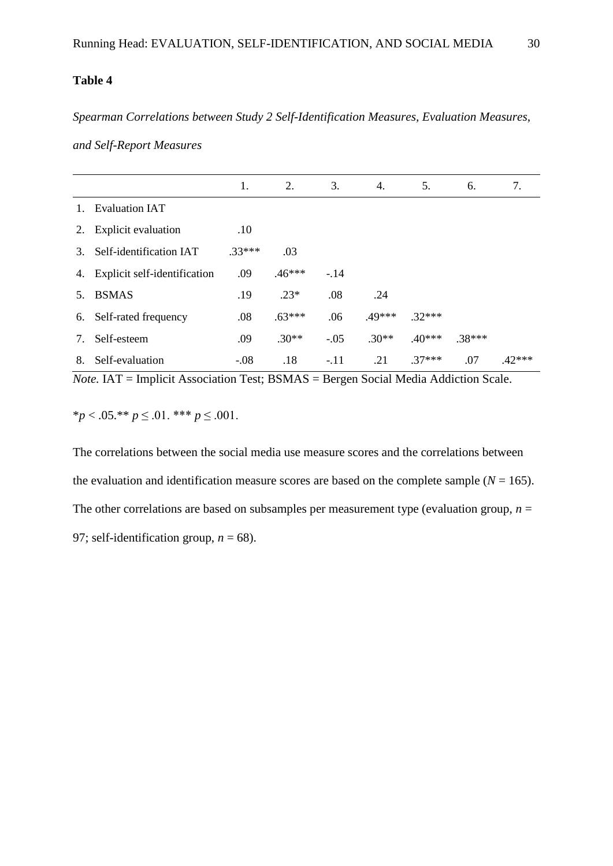*Spearman Correlations between Study 2 Self-Identification Measures, Evaluation Measures,* 

*and Self-Report Measures*

|    |                              | 1.       | 2.       | 3.     | 4.      | 5.       | 6.       | 7.       |
|----|------------------------------|----------|----------|--------|---------|----------|----------|----------|
|    | <b>Evaluation IAT</b>        |          |          |        |         |          |          |          |
| 2. | <b>Explicit evaluation</b>   | .10      |          |        |         |          |          |          |
| 3. | Self-identification IAT      | $.33***$ | .03      |        |         |          |          |          |
| 4. | Explicit self-identification | .09      | $.46***$ | $-.14$ |         |          |          |          |
| 5. | <b>BSMAS</b>                 | .19      | $.23*$   | .08    | .24     |          |          |          |
| 6. | Self-rated frequency         | .08      | $.63***$ | .06    | 49***   | $.32***$ |          |          |
| 7. | Self-esteem                  | .09      | $.30**$  | $-.05$ | $.30**$ | $.40***$ | $.38***$ |          |
| 8. | Self-evaluation              | $-.08$   | .18      | $-.11$ | .21     | $37***$  | .07      | $.42***$ |

*Note.* IAT = Implicit Association Test; BSMAS = Bergen Social Media Addiction Scale.

\**p* < .05.\*\* *p* ≤ .01. \*\*\* *p* ≤ .001.

The correlations between the social media use measure scores and the correlations between the evaluation and identification measure scores are based on the complete sample  $(N = 165)$ . The other correlations are based on subsamples per measurement type (evaluation group,  $n =$ 97; self-identification group,  $n = 68$ ).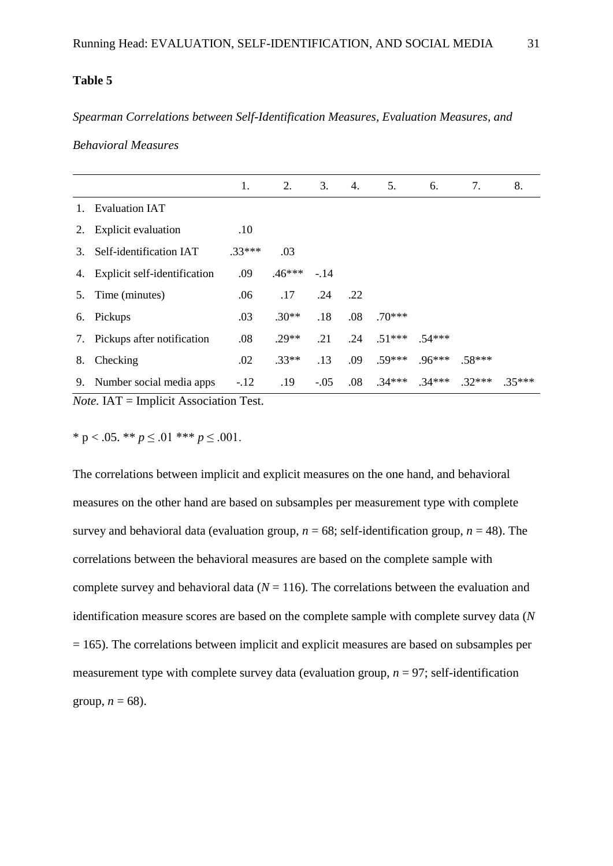# *Spearman Correlations between Self-Identification Measures, Evaluation Measures, and*

# *Behavioral Measures*

|    |                                 | 1.       | 2.       | 3.     | 4.  | 5.       | 6.       | 7.       | 8.      |
|----|---------------------------------|----------|----------|--------|-----|----------|----------|----------|---------|
| 1. | <b>Evaluation IAT</b>           |          |          |        |     |          |          |          |         |
| 2. | Explicit evaluation             | .10      |          |        |     |          |          |          |         |
| 3. | Self-identification IAT         | $.33***$ | .03      |        |     |          |          |          |         |
|    | 4. Explicit self-identification | .09      | $.46***$ | $-.14$ |     |          |          |          |         |
| 5. | Time (minutes)                  | .06      | .17      | .24    | .22 |          |          |          |         |
| 6. | Pickups                         | .03      | $.30**$  | .18    | .08 | $.70***$ |          |          |         |
| 7. | Pickups after notification      | .08      | $.29**$  | .21    | .24 | $.51***$ | $.54***$ |          |         |
| 8. | Checking                        | .02      | $.33**$  | .13    | .09 | $.59***$ | $.96***$ | $.58***$ |         |
|    | 9. Number social media apps     | $-.12$   | .19      | $-.05$ | .08 | $.34***$ | $.34***$ | $.32***$ | $35***$ |

*Note.* IAT = Implicit Association Test.

\*  $p < .05$ . \*\*  $p \le .01$  \*\*\*  $p \le .001$ .

The correlations between implicit and explicit measures on the one hand, and behavioral measures on the other hand are based on subsamples per measurement type with complete survey and behavioral data (evaluation group,  $n = 68$ ; self-identification group,  $n = 48$ ). The correlations between the behavioral measures are based on the complete sample with complete survey and behavioral data  $(N = 116)$ . The correlations between the evaluation and identification measure scores are based on the complete sample with complete survey data (*N*  $= 165$ ). The correlations between implicit and explicit measures are based on subsamples per measurement type with complete survey data (evaluation group,  $n = 97$ ; self-identification group,  $n = 68$ ).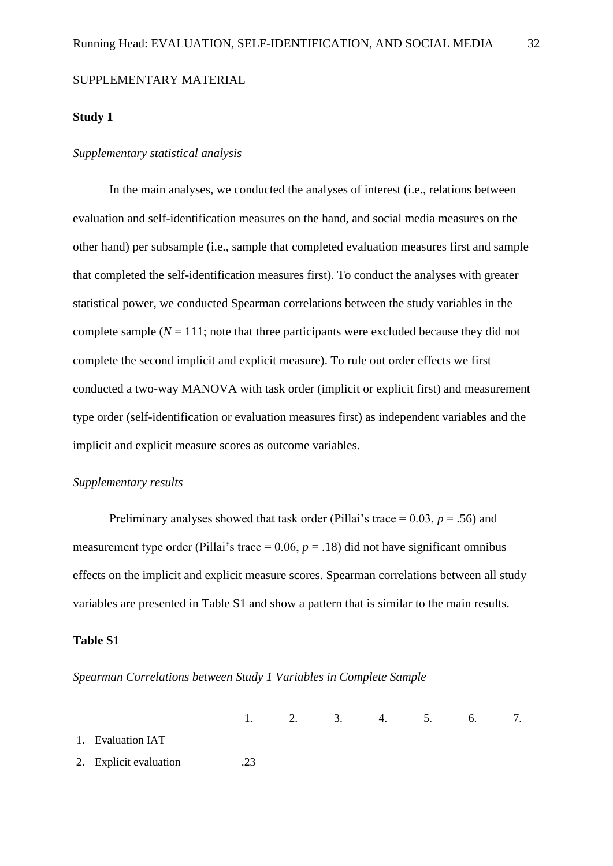# SUPPLEMENTARY MATERIAL

#### **Study 1**

# *Supplementary statistical analysis*

In the main analyses, we conducted the analyses of interest (i.e., relations between evaluation and self-identification measures on the hand, and social media measures on the other hand) per subsample (i.e., sample that completed evaluation measures first and sample that completed the self-identification measures first). To conduct the analyses with greater statistical power, we conducted Spearman correlations between the study variables in the complete sample  $(N = 111)$ ; note that three participants were excluded because they did not complete the second implicit and explicit measure). To rule out order effects we first conducted a two-way MANOVA with task order (implicit or explicit first) and measurement type order (self-identification or evaluation measures first) as independent variables and the implicit and explicit measure scores as outcome variables.

#### *Supplementary results*

Preliminary analyses showed that task order (Pillai's trace  $= 0.03$ ,  $p = .56$ ) and measurement type order (Pillai's trace  $= 0.06$ ,  $p = .18$ ) did not have significant omnibus effects on the implicit and explicit measure scores. Spearman correlations between all study variables are presented in Table S1 and show a pattern that is similar to the main results.

### **Table S1**

*Spearman Correlations between Study 1 Variables in Complete Sample* 

|                        |  | 3. | 4. | 5. | 6. |  |
|------------------------|--|----|----|----|----|--|
| 1. Evaluation IAT      |  |    |    |    |    |  |
| 2. Explicit evaluation |  |    |    |    |    |  |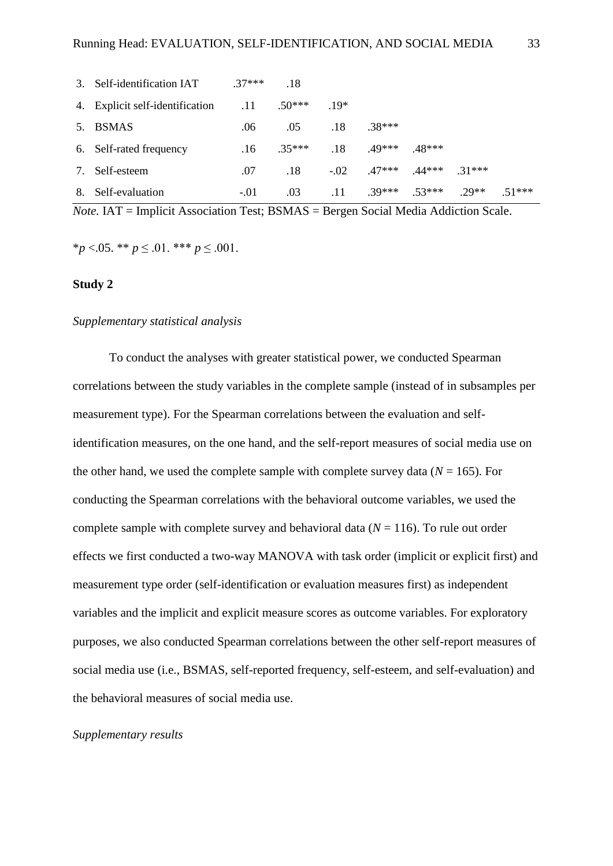| 3. | Self-identification IAT         | $37***$ | .18      |        |          |          |         |         |
|----|---------------------------------|---------|----------|--------|----------|----------|---------|---------|
|    | 4. Explicit self-identification | .11     | $.50***$ | 19*    |          |          |         |         |
|    | <b>BSMAS</b>                    | .06     | .05      | .18    | $.38***$ |          |         |         |
|    | 6. Self-rated frequency         | .16     | $.35***$ | .18    | $49***$  | $.48***$ |         |         |
|    | Self-esteem                     | .07     | .18      | $-.02$ | $.47***$ | $.44***$ | $31***$ |         |
| 8. | Self-evaluation                 | $-.01$  | .03      | .11    | 39***    | $.53***$ | $29**$  | $51***$ |

*Note.* IAT = Implicit Association Test; BSMAS = Bergen Social Media Addiction Scale.

\**p* <.05. \*\* *p* ≤ .01. \*\*\* *p* ≤ .001.

#### **Study 2**

# *Supplementary statistical analysis*

To conduct the analyses with greater statistical power, we conducted Spearman correlations between the study variables in the complete sample (instead of in subsamples per measurement type). For the Spearman correlations between the evaluation and selfidentification measures, on the one hand, and the self-report measures of social media use on the other hand, we used the complete sample with complete survey data  $(N = 165)$ . For conducting the Spearman correlations with the behavioral outcome variables, we used the complete sample with complete survey and behavioral data  $(N = 116)$ . To rule out order effects we first conducted a two-way MANOVA with task order (implicit or explicit first) and measurement type order (self-identification or evaluation measures first) as independent variables and the implicit and explicit measure scores as outcome variables. For exploratory purposes, we also conducted Spearman correlations between the other self-report measures of social media use (i.e., BSMAS, self-reported frequency, self-esteem, and self-evaluation) and the behavioral measures of social media use.

#### *Supplementary results*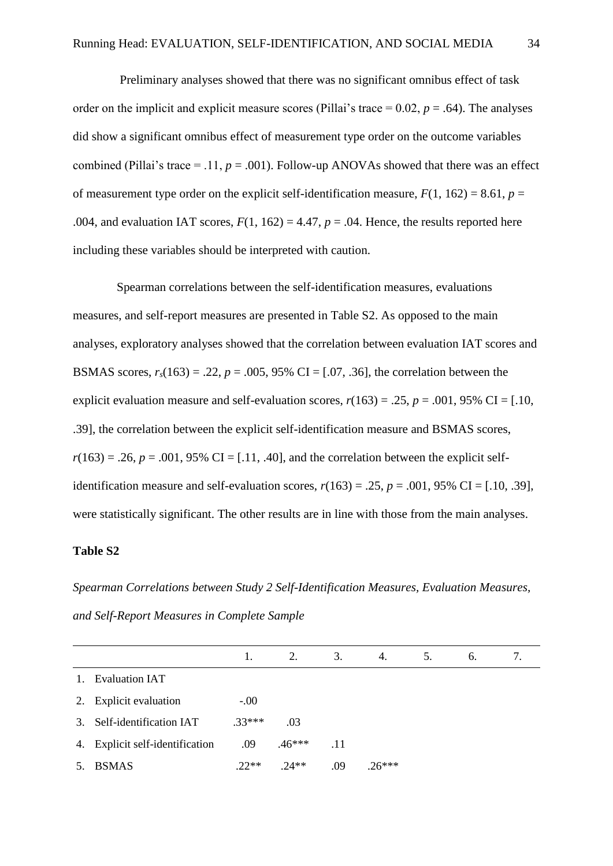Preliminary analyses showed that there was no significant omnibus effect of task order on the implicit and explicit measure scores (Pillai's trace  $= 0.02$ ,  $p = .64$ ). The analyses did show a significant omnibus effect of measurement type order on the outcome variables combined (Pillai's trace  $=$  .11,  $p = .001$ ). Follow-up ANOVAs showed that there was an effect of measurement type order on the explicit self-identification measure,  $F(1, 162) = 8.61$ ,  $p =$ .004, and evaluation IAT scores,  $F(1, 162) = 4.47$ ,  $p = .04$ . Hence, the results reported here including these variables should be interpreted with caution.

Spearman correlations between the self-identification measures, evaluations measures, and self-report measures are presented in Table S2. As opposed to the main analyses, exploratory analyses showed that the correlation between evaluation IAT scores and BSMAS scores,  $r_s(163) = .22$ ,  $p = .005$ , 95% CI = [.07, .36], the correlation between the explicit evaluation measure and self-evaluation scores,  $r(163) = .25$ ,  $p = .001$ , 95% CI = [.10, .39], the correlation between the explicit self-identification measure and BSMAS scores,  $r(163) = .26$ ,  $p = .001$ , 95% CI = [.11, .40], and the correlation between the explicit selfidentification measure and self-evaluation scores,  $r(163) = .25$ ,  $p = .001$ , 95% CI = [.10, .39], were statistically significant. The other results are in line with those from the main analyses.

#### **Table S2**

*Spearman Correlations between Study 2 Self-Identification Measures, Evaluation Measures, and Self-Report Measures in Complete Sample* 

|                |                                 | 1.      | 2.       | 3.  | 4.      | 5. | 6. | 7. |
|----------------|---------------------------------|---------|----------|-----|---------|----|----|----|
| $\mathbf{1}$ . | <b>Evaluation IAT</b>           |         |          |     |         |    |    |    |
| 2.             | Explicit evaluation             | $-.00$  |          |     |         |    |    |    |
| 3.             | Self-identification IAT         | $33***$ | .03      |     |         |    |    |    |
|                | 4. Explicit self-identification | .09     | $.46***$ | .11 |         |    |    |    |
|                | <b>BSMAS</b>                    | $22**$  | $24**$   | .09 | $26***$ |    |    |    |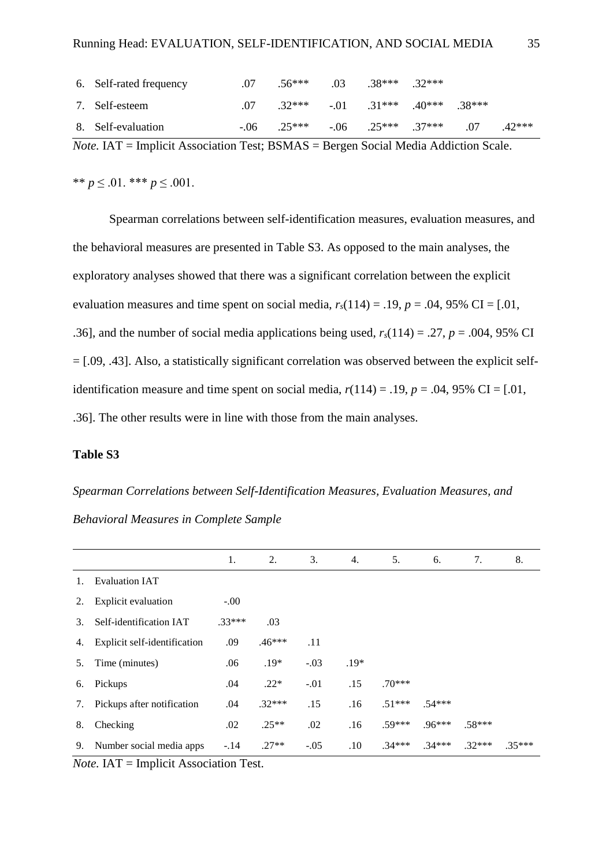| 6. Self-rated frequency | .07    | $.56***$                                  | 0.03 | $.38***$ $.32***$           |     |         |
|-------------------------|--------|-------------------------------------------|------|-----------------------------|-----|---------|
| 7. Self-esteem          | .07    | $.32***$ $.01$ $.31***$ $.40***$ $.38***$ |      |                             |     |         |
| 8. Self-evaluation      | $-.06$ | $.25***$                                  |      | $-0.06$ $0.25***$ $0.37***$ | .07 | $42***$ |

*Note.* IAT = Implicit Association Test; BSMAS = Bergen Social Media Addiction Scale.

\*\*  $p \leq .01$ . \*\*\*  $p \leq .001$ .

Spearman correlations between self-identification measures, evaluation measures, and the behavioral measures are presented in Table S3. As opposed to the main analyses, the exploratory analyses showed that there was a significant correlation between the explicit evaluation measures and time spent on social media,  $r_s(114) = .19$ ,  $p = .04$ , 95% CI = [.01, .36], and the number of social media applications being used,  $r_s(114) = .27$ ,  $p = .004$ , 95% CI = [.09, .43]. Also, a statistically significant correlation was observed between the explicit selfidentification measure and time spent on social media,  $r(114) = .19$ ,  $p = .04$ , 95% CI = [.01, .36]. The other results were in line with those from the main analyses.

# **Table S3**

# *Spearman Correlations between Self-Identification Measures, Evaluation Measures, and Behavioral Measures in Complete Sample*

|    |                              | 1.       | 2.       | 3.     | 4.      | 5.       | 6.       | 7.       | 8.       |
|----|------------------------------|----------|----------|--------|---------|----------|----------|----------|----------|
| 1. | <b>Evaluation IAT</b>        |          |          |        |         |          |          |          |          |
| 2. | Explicit evaluation          | $-.00$   |          |        |         |          |          |          |          |
| 3. | Self-identification IAT      | $.33***$ | .03      |        |         |          |          |          |          |
| 4. | Explicit self-identification | .09      | $.46***$ | .11    |         |          |          |          |          |
| 5. | Time (minutes)               | .06      | $.19*$   | $-.03$ | $.19*$  |          |          |          |          |
| 6. | Pickups                      | .04      | $.22*$   | $-.01$ | .15     | $.70***$ |          |          |          |
| 7. | Pickups after notification   | .04      | $.32***$ | .15    | .16     | $.51***$ | $.54***$ |          |          |
| 8. | Checking                     | .02      | $.25**$  | .02    | .16     | .59***   | $.96***$ | $.58***$ |          |
| 9. | Number social media apps     | $-.14$   | $.27**$  | $-.05$ | $.10\,$ | $.34***$ | $.34***$ | $32***$  | $.35***$ |

*Note.* IAT = Implicit Association Test.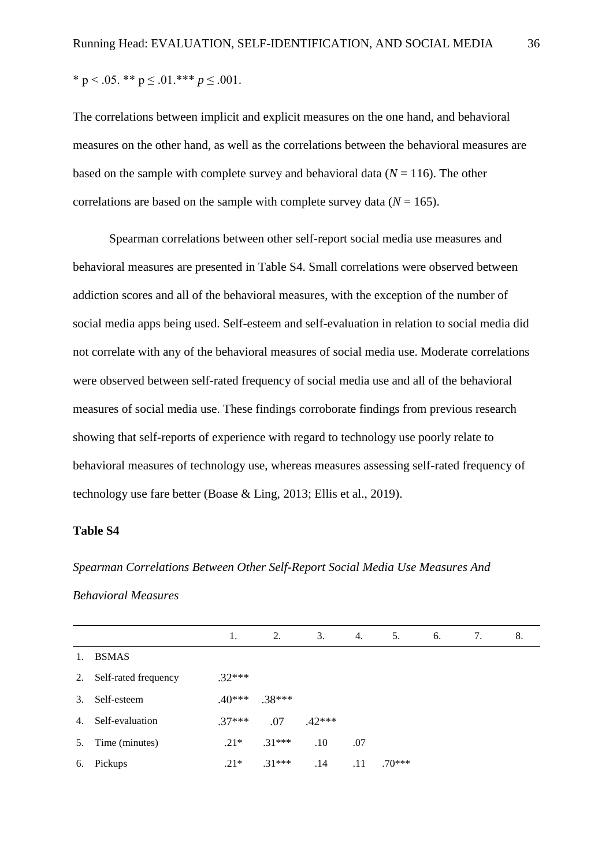The correlations between implicit and explicit measures on the one hand, and behavioral measures on the other hand, as well as the correlations between the behavioral measures are based on the sample with complete survey and behavioral data  $(N = 116)$ . The other correlations are based on the sample with complete survey data  $(N = 165)$ .

Spearman correlations between other self-report social media use measures and behavioral measures are presented in Table S4. Small correlations were observed between addiction scores and all of the behavioral measures, with the exception of the number of social media apps being used. Self-esteem and self-evaluation in relation to social media did not correlate with any of the behavioral measures of social media use. Moderate correlations were observed between self-rated frequency of social media use and all of the behavioral measures of social media use. These findings corroborate findings from previous research showing that self-reports of experience with regard to technology use poorly relate to behavioral measures of technology use, whereas measures assessing self-rated frequency of technology use fare better (Boase & Ling, 2013; Ellis et al., 2019).

#### **Table S4**

# *Spearman Correlations Between Other Self-Report Social Media Use Measures And Behavioral Measures*

|    |                      | 1.       | 2.       | 3.       | 4.  | 5.       | 6. | 7. | 8. |
|----|----------------------|----------|----------|----------|-----|----------|----|----|----|
| 1. | <b>BSMAS</b>         |          |          |          |     |          |    |    |    |
| 2. | Self-rated frequency | $.32***$ |          |          |     |          |    |    |    |
| 3. | Self-esteem          | $.40***$ | $.38***$ |          |     |          |    |    |    |
| 4. | Self-evaluation      | $.37***$ | .07      | $.42***$ |     |          |    |    |    |
| 5. | Time (minutes)       | $.21*$   | $.31***$ | .10      | .07 |          |    |    |    |
| 6. | Pickups              | $.21*$   | $.31***$ | .14      | .11 | $.70***$ |    |    |    |